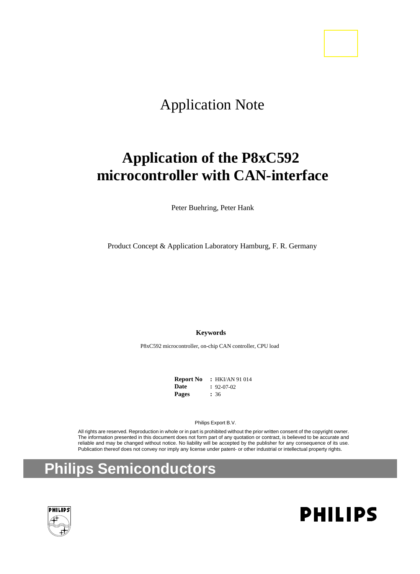# Application Note

# **Application of the P8xC592 microcontroller with CAN-interface**

Peter Buehring, Peter Hank

Product Concept & Application Laboratory Hamburg, F. R. Germany

**Keywords**

P8xC592 microcontroller, on-chip CAN controller, CPU load

**Report No** : HKI/AN 91 014 92-07-02 36 **Date : Pages :**

Philips Export B.V.

All rights are reserved. Reproduction in whole or in part is prohibited without the prior written consent of the copyright owner. The information presented in this document does not form part of any quotation or contract, is believed to be accurate and reliable and may be changed without notice. No liability will be accepted by the publisher for any consequence of its use. Publication thereof does not convey nor imply any license under patent- or other industrial or intellectual property rights.

# **Philips Semiconductors**



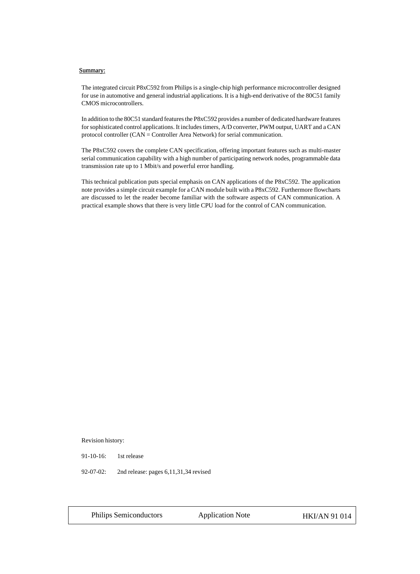#### Summary:

The integrated circuit P8xC592 from Philips is a single-chip high performance microcontroller designed for use in automotive and general industrial applications. It is a high-end derivative of the 80C51 family CMOS microcontrollers.

In addition to the 80C51 standard features the P8xC592 provides a number of dedicated hardware features for sophisticated control applications. It includes timers, A/D converter, PWM output, UART and a CAN protocol controller (CAN = Controller Area Network) for serial communication.

The P8xC592 covers the complete CAN specification, offering important features such as multi-master serial communication capability with a high number of participating network nodes, programmable data transmission rate up to 1 Mbit/s and powerful error handling.

This technical publication puts special emphasis on CAN applications of the P8xC592. The application note provides a simple circuit example for a CAN module built with a P8xC592. Furthermore flowcharts are discussed to let the reader become familiar with the software aspects of CAN communication. A practical example shows that there is very little CPU load for the control of CAN communication.

Revision history:

91-10-16: 1st release

92-07-02: 2nd release: pages 6,11,31,34 revised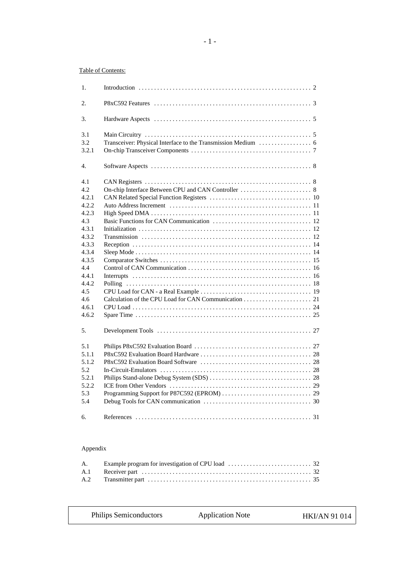## Table of Contents:

| 1.                                                                                                                                                 |  |
|----------------------------------------------------------------------------------------------------------------------------------------------------|--|
| 2.                                                                                                                                                 |  |
| 3.                                                                                                                                                 |  |
| 3.1<br>3.2<br>3.2.1                                                                                                                                |  |
| 4.                                                                                                                                                 |  |
| 4.1<br>4.2<br>4.2.1<br>4.2.2<br>4.2.3<br>4.3<br>4.3.1<br>4.3.2<br>4.3.3<br>4.3.4<br>4.3.5<br>4.4<br>4.4.1<br>4.4.2<br>4.5<br>4.6<br>4.6.1<br>4.6.2 |  |
| 5.                                                                                                                                                 |  |
| 5.1<br>5.1.1<br>5.1.2<br>5.2<br>5.2.1<br>5.2.2<br>5.3<br>5.4                                                                                       |  |
| 6.                                                                                                                                                 |  |

## Appendix

| <b>Philips Semiconductors</b><br><b>Application Note</b> | <b>HKI/AN 91 014</b> |
|----------------------------------------------------------|----------------------|
|----------------------------------------------------------|----------------------|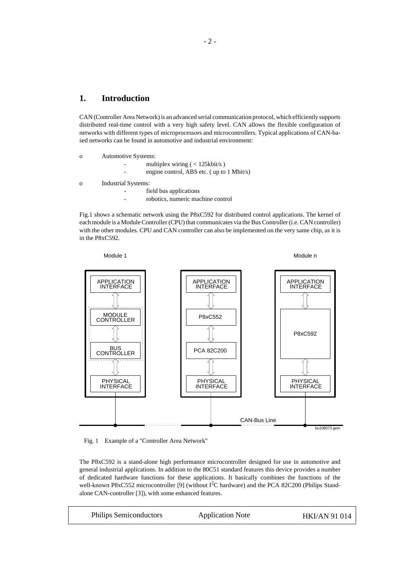# **1. Introduction**

CAN (Controller Area Network) is an advanced serial communication protocol, which efficiently supports distributed real-time control with a very high safety level. CAN allows the flexible configuration of networks with different types of microprocessors and microcontrollers. Typical applications of CAN-based networks can be found in automotive and industrial environment:

- o Automotive Systems:
	- multiplex wiring ( < 125kbit/s )
	- engine control, ABS etc. ( up to 1 Mbit/s)

o Industrial Systems:

- field bus applications
- robotics, numeric machine control

Fig.1 shows a schematic network using the P8xC592 for distributed control applications. The kernel of each module is a Module Controller (CPU) that communicates via the Bus Controller (i.e. CAN controller) with the other modules. CPU and CAN controller can also be implemented on the very same chip, as it is in the P8xC592.



Fig. 1 Example of a "Controller Area Network"

The P8xC592 is a stand-alone high performance microcontroller designed for use in automotive and general industrial applications. In addition to the 80C51 standard features this device provides a number of dedicated hardware functions for these applications. It basically combines the functions of the well-known P8xC552 microcontroller [9] (without  $1^2C$  hardware) and the PCA 82C200 (Philips Standalone CAN-controller [3]), with some enhanced features.

| <b>Philips Semiconductors</b> | <b>Application Note</b> | <b>HKI/AN 91 014</b> |
|-------------------------------|-------------------------|----------------------|
|-------------------------------|-------------------------|----------------------|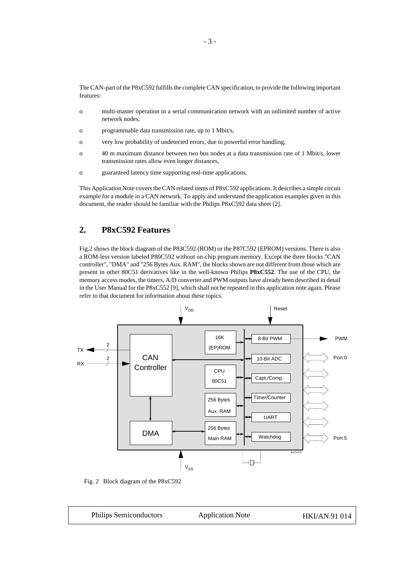The CAN-part of the P8xC592 fulfills the complete CAN specification, to provide the following important features:

- o multi-master operation in a serial communication network with an unlimited number of active network nodes,
- o programmable data transmission rate, up to 1 Mbit/s,
- o very low probability of undetected errors, due to powerful error handling,
- o 40 m maximum distance between two bus nodes at a data transmission rate of 1 Mbit/s, lower transmission rates allow even longer distances,
- o guaranteed latency time supporting real-time applications.

This Application Note covers the CAN related items of P8xC592 applications. It describes a simple circuit example for a module in a CAN network. To apply and understand the application examples given in this document, the reader should be familiar with the Philips P8xC592 data sheet [2].

## **2. P8xC592 Features**

Fig.2 shows the block diagram of the P83C592 (ROM) or the P87C592 (EPROM) versions. There is also a ROM-less version labeled P80C592 without on-chip program memory. Except the three blocks "CAN controller", "DMA" and "256 Bytes Aux. RAM", the blocks shown are not different from those which are present in other 80C51 derivatives like in the well-known Philips **P8xC552**. The use of the CPU, the memory access modes, the timers, A/D converter and PWM outputs have already been described in detail in the User Manual for the P8xC552 [9], which shall not be repeated in this application note again. Please refer to that document for information about these topics.



Fig. 2 Block diagram of the P8xC592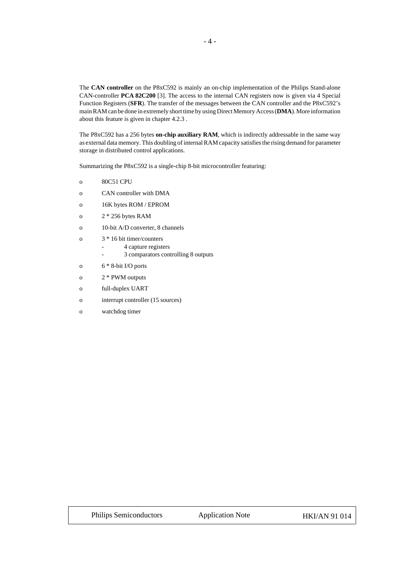The **CAN controller** on the P8xC592 is mainly an on-chip implementation of the Philips Stand-alone CAN-controller **PCA 82C200** [3]. The access to the internal CAN registers now is given via 4 Special Function Registers (**SFR**). The transfer of the messages between the CAN controller and the P8xC592's main RAM can be done in extremely short time by using Direct Memory Access (**DMA**). More information about this feature is given in chapter 4.2.3 .

The P8xC592 has a 256 bytes **on-chip auxiliary RAM**, which is indirectly addressable in the same way as external data memory. This doubling of internal RAM capacity satisfies the rising demand for parameter storage in distributed control applications.

Summarizing the P8xC592 is a single-chip 8-bit microcontroller featuring:

- o 80C51 CPU
- o CAN controller with DMA
- o 16K bytes ROM / EPROM
- o  $2 * 256$  bytes RAM
- o 10-bit A/D converter, 8 channels
- o 3 \* 16 bit timer/counters
	- 4 capture registers
	- 3 comparators controlling 8 outputs
- o  $6 * 8$ -bit I/O ports
- o 2 \* PWM outputs
- o full-duplex UART
- o interrupt controller (15 sources)
- o watchdog timer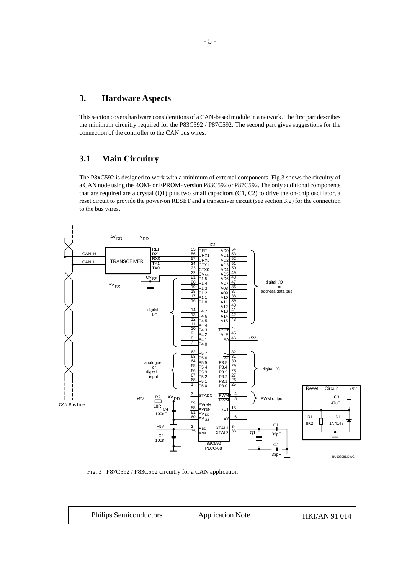# **3. Hardware Aspects**

This section covers hardware considerations of a CAN-based module in a network. The first part describes the minimum circuitry required for the P83C592 / P87C592. The second part gives suggestions for the connection of the controller to the CAN bus wires.

# **3.1 Main Circuitry**

The P8xC592 is designed to work with a minimum of external components. Fig.3 shows the circuitry of a CAN node using the ROM- or EPROM- version P83C592 or P87C592. The only additional components that are required are a crystal (Q1) plus two small capacitors (C1, C2) to drive the on-chip oscillator, a reset circuit to provide the power-on RESET and a transceiver circuit (see section 3.2) for the connection to the bus wires.



Fig. 3 P87C592 / P83C592 circuitry for a CAN application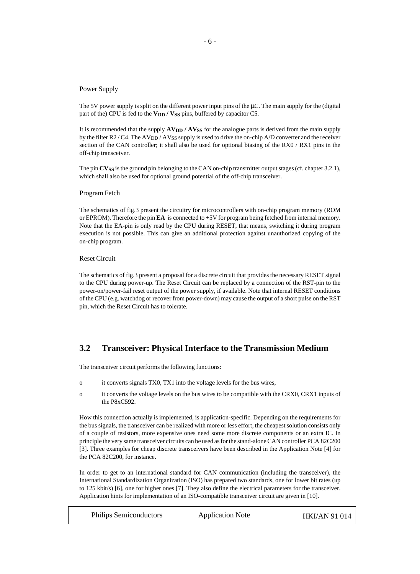#### Power Supply

The 5V power supply is split on the different power input pins of the  $\mu$ C. The main supply for the (digital part of the) CPU is fed to the **V<sub>DD</sub>** / **V**<sub>SS</sub> pins, buffered by capacitor C5.

It is recommended that the supply  $\bf{AV_{DD}}$  /  $\bf{AV_{SS}}$  for the analogue parts is derived from the main supply by the filter R2 / C4. The AVDD / AVSS supply is used to drive the on-chip A/D converter and the receiver section of the CAN controller; it shall also be used for optional biasing of the RX0 / RX1 pins in the off-chip transceiver.

The pin **CVSS** is the ground pin belonging to the CAN on-chip transmitter output stages (cf. chapter 3.2.1), which shall also be used for optional ground potential of the off-chip transceiver.

#### Program Fetch

The schematics of fig.3 present the circuitry for microcontrollers with on-chip program memory (ROM or EPROM). Therefore the pin **EA** is connected to +5V for program being fetched from internal memory. Note that the EA-pin is only read by the CPU during RESET, that means, switching it during program execution is not possible. This can give an additional protection against unauthorized copying of the on-chip program.

#### Reset Circuit

The schematics of fig.3 present a proposal for a discrete circuit that provides the necessary RESET signal to the CPU during power-up. The Reset Circuit can be replaced by a connection of the RST-pin to the power-on/power-fail reset output of the power supply, if available. Note that internal RESET conditions of the CPU (e.g. watchdog or recover from power-down) may cause the output of a short pulse on the RST pin, which the Reset Circuit has to tolerate.

## **3.2 Transceiver: Physical Interface to the Transmission Medium**

The transceiver circuit performs the following functions:

- o it converts signals TX0, TX1 into the voltage levels for the bus wires,
- o it converts the voltage levels on the bus wires to be compatible with the CRX0, CRX1 inputs of the P8xC592.

How this connection actually is implemented, is application-specific. Depending on the requirements for the bus signals, the transceiver can be realized with more or less effort, the cheapest solution consists only of a couple of resistors, more expensive ones need some more discrete components or an extra IC. In principle the very same transceiver circuits can be used as for the stand-alone CAN controller PCA 82C200 [3]. Three examples for cheap discrete transceivers have been described in the Application Note [4] for the PCA 82C200, for instance.

In order to get to an international standard for CAN communication (including the transceiver), the International Standardization Organization (ISO) has prepared two standards, one for lower bit rates (up to 125 kbit/s) [6], one for higher ones [7]. They also define the electrical parameters for the transceiver. Application hints for implementation of an ISO-compatible transceiver circuit are given in [10].

| <b>Philips Semiconductors</b> | <b>Application Note</b> | <b>HKI/AN 91 014</b> |
|-------------------------------|-------------------------|----------------------|
|-------------------------------|-------------------------|----------------------|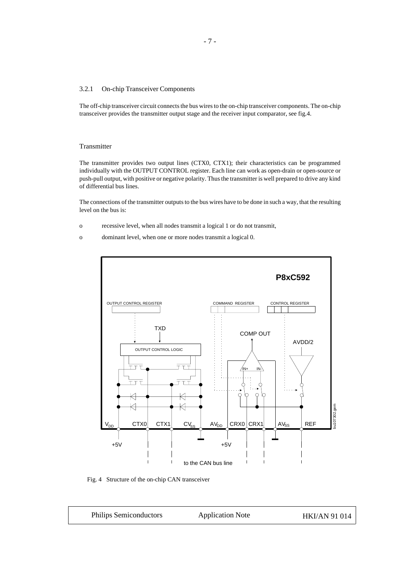#### 3.2.1 On-chip Transceiver Components

The off-chip transceiver circuit connects the bus wires to the on-chip transceiver components. The on-chip transceiver provides the transmitter output stage and the receiver input comparator, see fig.4.

## Transmitter

The transmitter provides two output lines (CTX0, CTX1); their characteristics can be programmed individually with the OUTPUT CONTROL register. Each line can work as open-drain or open-source or push-pull output, with positive or negative polarity. Thus the transmitter is well prepared to drive any kind of differential bus lines.

The connections of the transmitter outputs to the bus wires have to be done in such a way, that the resulting level on the bus is:

- o recessive level, when all nodes transmit a logical 1 or do not transmit,
- o dominant level, when one or more nodes transmit a logical 0.



Fig. 4 Structure of the on-chip CAN transceiver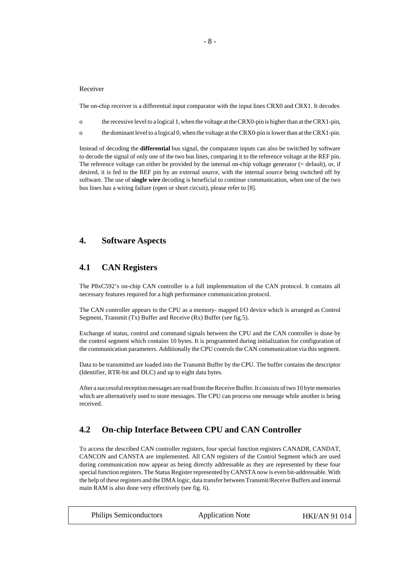## Receiver

The on-chip receiver is a differential input comparator with the input lines CRX0 and CRX1. It decodes

- o the recessive level to a logical 1, when the voltage at the CRX0-pin is higher than at the CRX1-pin,
- o the dominant level to a logical 0, when the voltage at the CRX0-pin is lower than at the CRX1-pin.

Instead of decoding the **differential** bus signal, the comparator inputs can also be switched by software to decode the signal of only one of the two bus lines, comparing it to the reference voltage at the REF pin. The reference voltage can either be provided by the internal on-chip voltage generator (= default), or, if desired, it is fed to the REF pin by an external source, with the internal source being switched off by software. The use of **single wire** decoding is beneficial to continue communication, when one of the two bus lines has a wiring failure (open or short circuit), please refer to [8].

# **4. Software Aspects**

## **4.1 CAN Registers**

The P8xC592's on-chip CAN controller is a full implementation of the CAN protocol. It contains all necessary features required for a high performance communication protocol.

The CAN controller appears to the CPU as a memory- mapped I/O device which is arranged as Control Segment, Transmit (Tx) Buffer and Receive (Rx) Buffer (see fig.5).

Exchange of status, control and command signals between the CPU and the CAN controller is done by the control segment which contains 10 bytes. It is programmed during initialization for configuration of the communication parameters. Additionally the CPU controls the CAN communication via this segment.

Data to be transmitted are loaded into the Transmit Buffer by the CPU. The buffer contains the descriptor (Identifier, RTR-bit and DLC) and up to eight data bytes.

After a successful reception messages are read from the Receive Buffer. It consists of two 10 byte memories which are alternatively used to store messages. The CPU can process one message while another is being received.

# **4.2 On-chip Interface Between CPU and CAN Controller**

To access the described CAN controller registers, four special function registers CANADR, CANDAT, CANCON and CANSTA are implemented. All CAN registers of the Control Segment which are used during communication now appear as being directly addressable as they are represented by these four special function registers. The Status Register represented by CANSTA now is even bit-addressable. With the help of these registers and the DMA logic, data transfer between Transmit/Receive Buffers and internal main RAM is also done very effectively (see fig. 6).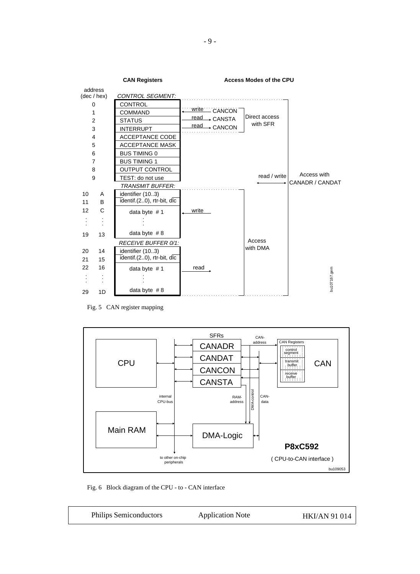

Fig. 5 CAN register mapping



Fig. 6 Block diagram of the CPU - to - CAN interface

| <b>Philips Semiconductors</b> | <b>Application Note</b> | <b>HKI/AN 91 014</b> |
|-------------------------------|-------------------------|----------------------|
|-------------------------------|-------------------------|----------------------|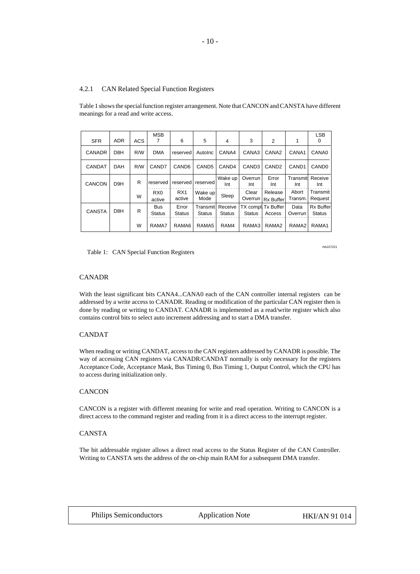## 4.2.1 CAN Related Special Function Registers

| <b>SFR</b>    | <b>ADR</b>       | <b>ACS</b> | <b>MSB</b><br>7             | 6                         | 5                         | 4                        | 3                 | 2                                    | 1                 | <b>LSB</b><br>0                   |
|---------------|------------------|------------|-----------------------------|---------------------------|---------------------------|--------------------------|-------------------|--------------------------------------|-------------------|-----------------------------------|
| <b>CANADR</b> | D <sub>8</sub> H | R/W        | <b>DMA</b>                  | reserved                  | AutoInc                   | CANA4                    | CANA3             | CANA <sub>2</sub>                    | CANA1             | CANA0                             |
| <b>CANDAT</b> | <b>DAH</b>       | R/W        | CAND7                       | CAND <sub>6</sub>         | CAND <sub>5</sub>         | CAND <sub>4</sub>        | CAND <sub>3</sub> | CAND <sub>2</sub>                    | CAND <sub>1</sub> | CAND <sub>0</sub>                 |
| <b>CANCON</b> | D <sub>9</sub> H | R          | reserved                    | reserved                  | reserved                  | Wake up<br>Int           | Overrun<br>Int    | Error<br>Int                         | Transmitl<br>Int  | Receive<br>Int                    |
|               |                  | W          | R <sub>X0</sub><br>active   | RX <sub>1</sub><br>active | Wake up<br>Mode           | Sleep                    | Clear<br>Overrun  | Release<br><b>Rx Buffer</b>          | Abort<br>Transm.  | Transmit<br>Request               |
| <b>CANSTA</b> | D <sub>8</sub> H | R          | <b>Bus</b><br><b>Status</b> | Error<br><b>Status</b>    | Transmit<br><b>Status</b> | Receive<br><b>Status</b> | <b>Status</b>     | <b>TX compll Tx Buffer</b><br>Access | Data<br>Overrun   | <b>Rx Buffer</b><br><b>Status</b> |
|               |                  | W          | RAMA7                       | RAMA6                     | RAMA <sub>5</sub>         | RAM4                     | RAMA3             | RAMA <sub>2</sub>                    | RAMA <sub>2</sub> | RAMA1                             |

Table 1 shows the special function register arrangement. Note that CANCON and CANSTA have different meanings for a read and write access.

Table 1: CAN Special Function Registers

## CANADR

With the least significant bits CANA4...CANA0 each of the CAN controller internal registers can be addressed by a write access to CANADR. Reading or modification of the particular CAN register then is done by reading or writing to CANDAT. CANADR is implemented as a read/write register which also contains control bits to select auto increment addressing and to start a DMA transfer.

## CANDAT

When reading or writing CANDAT, access to the CAN registers addressed by CANADR is possible. The way of accessing CAN registers via CANADR/CANDAT normally is only necessary for the registers Acceptance Code, Acceptance Mask, Bus Timing 0, Bus Timing 1, Output Control, which the CPU has to access during initialization only.

#### **CANCON**

CANCON is a register with different meaning for write and read operation. Writing to CANCON is a direct access to the command register and reading from it is a direct access to the interrupt register.

#### CANSTA

The bit addressable register allows a direct read access to the Status Register of the CAN Controller. Writing to CANSTA sets the address of the on-chip main RAM for a subsequent DMA transfer.

|  | <b>Philips Semiconductors</b> |
|--|-------------------------------|
|--|-------------------------------|

HA107221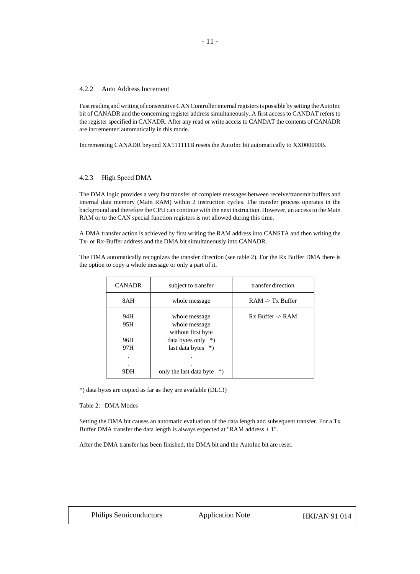#### 4.2.2 Auto Address Increment

Fast reading and writing of consecutive CAN Controller internal registers is possible by setting the AutoInc bit of CANADR and the concerning register address simultaneously. A first access to CANDAT refers to the register specified in CANADR. After any read or write access to CANDAT the contents of CANADR are incremented automatically in this mode.

Incrementing CANADR beyond XX111111B resets the AutoInc bit automatically to XX000000B.

## 4.2.3 High Speed DMA

The DMA logic provides a very fast transfer of complete messages between receive/transmit buffers and internal data memory (Main RAM) within 2 instruction cycles. The transfer process operates in the background and therefore the CPU can continue with the next instruction. However, an access to the Main RAM or to the CAN special function registers is not allowed during this time.

A DMA transfer action is achieved by first writing the RAM address into CANSTA and then writing the Tx- or Rx-Buffer address and the DMA bit simultaneously into CANADR.

The DMA automatically recognizes the transfer direction (see table 2). For the Rx Buffer DMA there is the option to copy a whole message or only a part of it.

| <b>CANADR</b> | subject to transfer                                  | transfer direction          |
|---------------|------------------------------------------------------|-----------------------------|
| 8AH           | whole message                                        | $RAM \rightarrow Tx$ Buffer |
| 94H<br>95H    | whole message<br>whole message<br>without first byte | $Rx$ Buffer -> $RAM$        |
| 96H<br>97H    | data bytes only $*$ )<br>last data bytes $*$ )       |                             |
| ٠             |                                                      |                             |
| 91)H          | only the last data byte<br>$^*)$                     |                             |

\*) data bytes are copied as far as they are available (DLC!)

#### Table 2: DMA Modes

Setting the DMA bit causes an automatic evaluation of the data length and subsequent transfer. For a Tx Buffer DMA transfer the data length is always expected at "RAM address + 1".

After the DMA transfer has been finished, the DMA bit and the AutoInc bit are reset.

|  | <b>Philips Semiconductors</b> |
|--|-------------------------------|
|--|-------------------------------|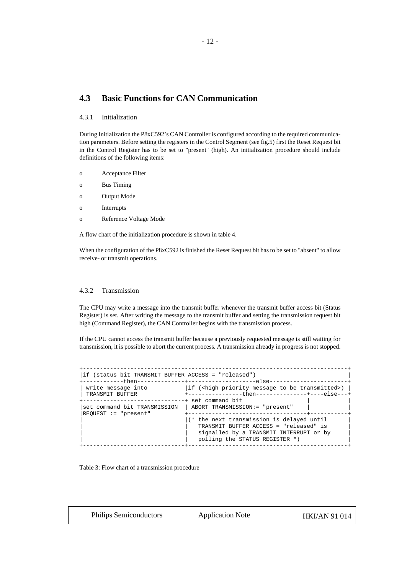# **4.3 Basic Functions for CAN Communication**

## 4.3.1 Initialization

During Initialization the P8xC592's CAN Controller is configured according to the required communication parameters. Before setting the registers in the Control Segment (see fig.5) first the Reset Request bit in the Control Register has to be set to "present" (high). An initialization procedure should include definitions of the following items:

- o Acceptance Filter
- o Bus Timing
- o Output Mode
- o Interrupts
- o Reference Voltage Mode

A flow chart of the initialization procedure is shown in table 4.

When the configuration of the P8xC592 is finished the Reset Request bit has to be set to "absent" to allow receive- or transmit operations.

## 4.3.2 Transmission

The CPU may write a message into the transmit buffer whenever the transmit buffer access bit (Status Register) is set. After writing the message to the transmit buffer and setting the transmission request bit high (Command Register), the CAN Controller begins with the transmission process.

If the CPU cannot access the transmit buffer because a previously requested message is still waiting for transmission, it is possible to abort the current process. A transmission already in progress is not stopped.

| if (status bit TRANSMIT BUFFER ACCESS = "released")            |                                                                                                                                                                  |
|----------------------------------------------------------------|------------------------------------------------------------------------------------------------------------------------------------------------------------------|
| write message into<br>TRANSMIT BUFFER<br>--------------------- | $ if$ ( <high be="" message="" priority="" to="" transmitted="">) <math> </math><br/><math>---++</math> set command bit</high>                                   |
| $REOUEST := "present"$                                         | set command bit TRANSMISSION   ABORT TRANSMISSION:= "present"                                                                                                    |
|                                                                | (* the next transmission is delayed until<br>TRANSMIT BUFFER ACCESS = "released" is<br>signalled by a TRANSMIT INTERRUPT or by<br>polling the STATUS REGISTER *) |

Table 3: Flow chart of a transmission procedure

| <b>Philips Semiconductors</b> | <b>Application Note</b> | <b>HKI/AN 91 014</b> |
|-------------------------------|-------------------------|----------------------|
|                               |                         |                      |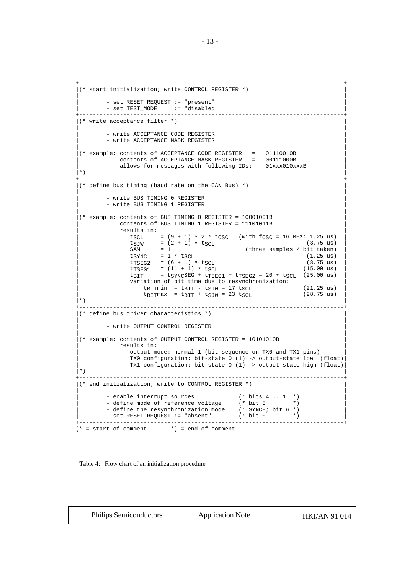```
+------------------------------------------------------------------------------+
|(* start initialization; write CONTROL REGISTER *) |
| |
       - set RESET_REQUEST := "present"
 | - set TEST_MODE := "disabled" |
                      +------------------------------------------------------------------------------+
|(* write acceptance filter *) |
| |
        - write ACCEPTANCE CODE REGISTER
       - write ACCEPTANCE MASK REGISTER
| |
\vert (* example: contents of ACCEPTANCE CODE REGISTER = 01110010B \vert| contents of ACCEPTANCE MASK REGISTER = 00111000B
| allows for messages with following IDs: 01xxx010xxxB |
|*) |+------------------------------------------------------------------------------+
\vert (* define bus timing (baud rate on the CAN Bus) *)
| |
        - write BUS TIMING 0 REGISTER
        - write BUS TIMING 1 REGISTER
| |
|(* example: contents of BUS TIMING 0 REGISTER = 10001001B |
           contents of BUS TIMING 1 REGISTER = 11101011B
           results in:
              t_{SCL} = (9 + 1) * 2 * t_{OSC} (with f_{OSC} = 16 MHz: 1.25 us)<br>t_{SJW} = (2 + 1) * t_{SCL} (3.75 us)
                     = (2 + 1) * t_{SCL}SAM = 1 (three samples / bit taken)
              SAM = 1<br>
t_SYNC = 1 * t_SCL (three samples / bit taken)<br>
t_TSFG2 = (6 + 1) * t_SCI (8.75 us)
              \text{tr}_{\text{SEG2}} = (6 + 1) * \text{t}_{\text{SCL}} (8.75 us) \text{tr}_{\text{SEG1}} = (11 + 1) * \text{t}_{\text{SCL}} (15.00 us)
              tr_{\text{SEG1}} = (11 + 1) * t<sub>SCL</sub><br>t<sub>BIT</sub> = t<sub>SYNC</sub>SEG + t<sub>TSEC</sub>
                     = tSYNCSEG + tTSEG1 + tTSEG2 = 20 * tSCL (25.00 us)
              variation of bit time due to resynchronization:
                 t_{\text{BIT}}min = t_{\text{BIT}} - t_{\text{SJW}} = 17 t_{\text{SCL}} (21.25 us) t_{\text{BIT}} (28.75 us)
\qquad \qquad \texttt{t}_\text{BITmax} = \texttt{t}_\text{BIT} + \texttt{t}_\text{SUM} = 23 \texttt{t}_\text{SCL}|*) |+------------------------------------------------------------------------------+
|(* define bus driver characteristics *) |
| |
        - write OUTPUT CONTROL REGISTER
| |
\frac{1}{100} (* example: contents of OUTPUT CONTROL REGISTER = 10101010B
           results in:
              output mode: normal 1 (bit sequence on TX0 and TX1 pins)
              TX0 configuration: bit-state 0 (1) -> output-state low (float)
| TX1 configuration: bit-state 0 (1) -> output-state high (float)|
|*) |+------------------------------------------------------------------------------+
|(* end initialization; write to CONTROL REGISTER *) |
| |
        % - enable interrupt sources ( * \text{ bits } 4 .. 1 * )<br>
- define mode of reference voltage ( * \text{ bit } 5 * )- define mode of reference voltage (* bit 5 *)<br>- define the resynchronization mode (* SYNCH; bit 6 *)<br>- set RESET REQUEST := "absent" (* bit 0 *)
       - define the resynchronization mode
       - set RESET REQUEST := "absent"
     +------------------------------------------------------------------------------+
(* = start of comment * ) = end of comment
```


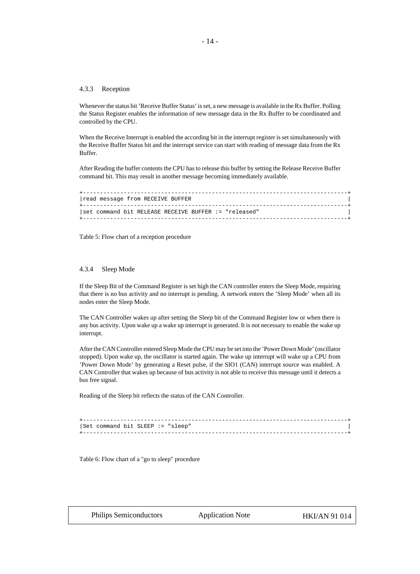#### 4.3.3 Reception

Whenever the status bit 'Receive Buffer Status' is set, a new message is available in the Rx Buffer. Polling the Status Register enables the information of new message data in the Rx Buffer to be coordinated and controlled by the CPU.

When the Receive Interrupt is enabled the according bit in the interrupt register is set simultaneously with the Receive Buffer Status bit and the interrupt service can start with reading of message data from the Rx Buffer.

After Reading the buffer contents the CPU has to release this buffer by setting the Release Receive Buffer command bit. This may result in another message becoming immediately available.

| read message from RECEIVE BUFFER                     |  |
|------------------------------------------------------|--|
|                                                      |  |
| set command bit RELEASE RECEIVE BUFFER := "released" |  |
|                                                      |  |

Table 5: Flow chart of a reception procedure

#### 4.3.4 Sleep Mode

If the Sleep Bit of the Command Register is set high the CAN controller enters the Sleep Mode, requiring that there is no bus activity and no interrupt is pending. A network enters the 'Sleep Mode' when all its nodes enter the Sleep Mode.

The CAN Controller wakes up after setting the Sleep bit of the Command Register low or when there is any bus activity. Upon wake up a wake up interrupt is generated. It is not necessary to enable the wake up interrupt.

After the CAN Controller entered Sleep Mode the CPU may be set into the 'Power Down Mode' (oscillator stopped). Upon wake up, the oscillator is started again. The wake up interrupt will wake up a CPU from 'Power Down Mode' by generating a Reset pulse, if the SIO1 (CAN) interrupt source was enabled. A CAN Controller that wakes up because of bus activity is not able to receive this message until it detects a bus free signal.

Reading of the Sleep bit reflects the status of the CAN Controller.

| $ Set$ command bit SLEEP := "sleep" |  |
|-------------------------------------|--|
|                                     |  |

Table 6: Flow chart of a "go to sleep" procedure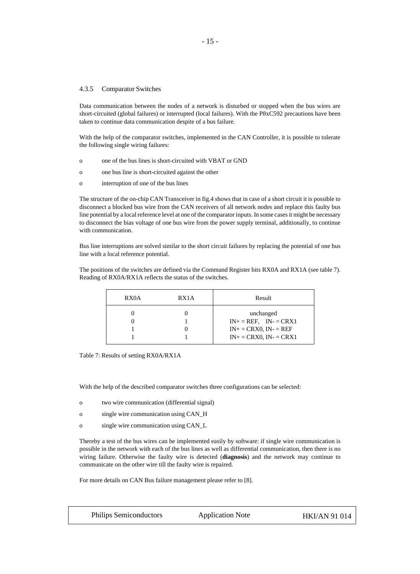### 4.3.5 Comparator Switches

Data communication between the nodes of a network is disturbed or stopped when the bus wires are short-circuited (global failures) or interrupted (local failures). With the P8xC592 precautions have been taken to continue data communication despite of a bus failure.

With the help of the comparator switches, implemented in the CAN Controller, it is possible to tolerate the following single wiring failures:

- o one of the bus lines is short-circuited with VBAT or GND
- o one bus line is short-circuited against the other
- o interruption of one of the bus lines

The structure of the on-chip CAN Transceiver in fig.4 shows that in case of a short circuit it is possible to disconnect a blocked bus wire from the CAN receivers of all network nodes and replace this faulty bus line potential by a local reference level at one of the comparator inputs. In some cases it might be necessary to disconnect the bias voltage of one bus wire from the power supply terminal, additionally, to continue with communication.

Bus line interruptions are solved similar to the short circuit failures by replacing the potential of one bus line with a local reference potential.

The positions of the switches are defined via the Command Register bits RX0A and RX1A (see table 7). Reading of RX0A/RX1A reflects the status of the switches.

| RX0A | RX1A | Result                                                                                               |
|------|------|------------------------------------------------------------------------------------------------------|
|      |      | unchanged<br>$IN+ = REF$ , $IN+ = CRX1$<br>$IN+ = CRX0$ , $INz = REF$<br>$IN+ = CRX0$ , $IN+ = CRX1$ |

Table 7: Results of setting RX0A/RX1A

With the help of the described comparator switches three configurations can be selected:

- o two wire communication (differential signal)
- o single wire communication using CAN\_H
- o single wire communication using CAN\_L

Thereby a test of the bus wires can be implemented easily by software: if single wire communication is possible in the network with each of the bus lines as well as differential communication, then there is no wiring failure. Otherwise the faulty wire is detected (**diagnosis**) and the network may continue to communicate on the other wire till the faulty wire is repaired.

For more details on CAN Bus failure management please refer to [8].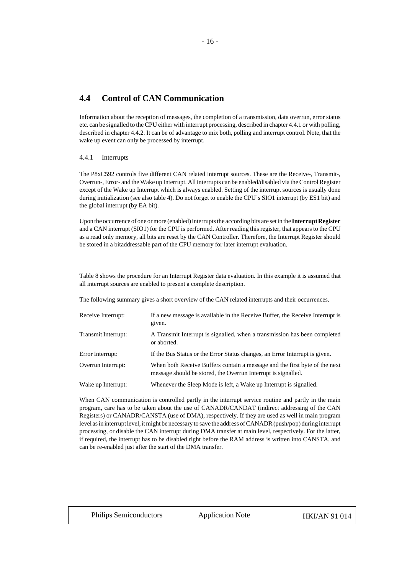# **4.4 Control of CAN Communication**

Information about the reception of messages, the completion of a transmission, data overrun, error status etc. can be signalled to the CPU either with interrupt processing, described in chapter 4.4.1 or with polling, described in chapter 4.4.2. It can be of advantage to mix both, polling and interrupt control. Note, that the wake up event can only be processed by interrupt.

## 4.4.1 Interrupts

The P8xC592 controls five different CAN related interrupt sources. These are the Receive-, Transmit-, Overrun-, Error- and the Wake up Interrupt. All interrupts can be enabled/disabled via the Control Register except of the Wake up Interrupt which is always enabled. Setting of the interrupt sources is usually done during initialization (see also table 4). Do not forget to enable the CPU's SIO1 interrupt (by ES1 bit) and the global interrupt (by EA bit).

Upon the occurrence of one or more (enabled) interrupts the according bits are set in the **Interrupt Register** and a CAN interrupt (SIO1) for the CPU is performed. After reading this register, that appears to the CPU as a read only memory, all bits are reset by the CAN Controller. Therefore, the Interrupt Register should be stored in a bitaddressable part of the CPU memory for later interrupt evaluation.

Table 8 shows the procedure for an Interrupt Register data evaluation. In this example it is assumed that all interrupt sources are enabled to present a complete description.

The following summary gives a short overview of the CAN related interrupts and their occurrences.

| Receive Interrupt:  | If a new message is available in the Receive Buffer, the Receive Interrupt is<br>given.                                                     |
|---------------------|---------------------------------------------------------------------------------------------------------------------------------------------|
| Transmit Interrupt: | A Transmit Interrupt is signalled, when a transmission has been completed<br>or aborted.                                                    |
| Error Interrupt:    | If the Bus Status or the Error Status changes, an Error Interrupt is given.                                                                 |
| Overrun Interrupt:  | When both Receive Buffers contain a message and the first byte of the next<br>message should be stored, the Overrun Interrupt is signalled. |
| Wake up Interrupt:  | Whenever the Sleep Mode is left, a Wake up Interrupt is signalled.                                                                          |

When CAN communication is controlled partly in the interrupt service routine and partly in the main program, care has to be taken about the use of CANADR/CANDAT (indirect addressing of the CAN Registers) or CANADR/CANSTA (use of DMA), respectively. If they are used as well in main program level as in interrupt level, it might be necessary to save the address of CANADR (push/pop) during interrupt processing, or disable the CAN interrupt during DMA transfer at main level, respectively. For the latter, if required, the interrupt has to be disabled right before the RAM address is written into CANSTA, and can be re-enabled just after the start of the DMA transfer.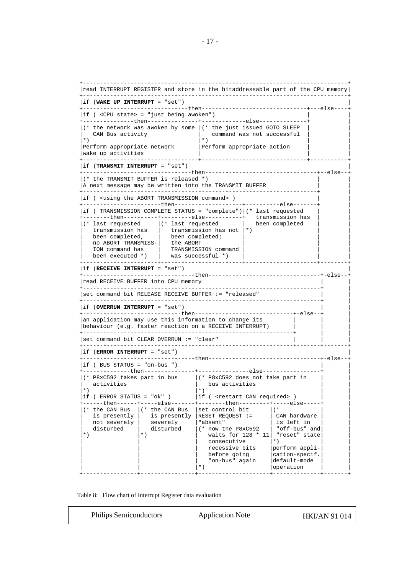```
+------------------------------------------------------------------------------+
|read INTERRUPT REGISTER and store in the bitaddressable part of the CPU memory|
  +------------------------------------------------------------------------------+
|if (WAKE UP INTERRUPT = "set") |
          +-------------------------------then-------------------------------+---else----+
|if ( <CPU state> = "just being awoken")
+---------------then---------------+-------------else--------------+ |
\vert (* the network was awoken by some \vert (* the just issued GOTO SLEEP
| CAN Bus activity | \cdot | command was not successful | *|*) |*) | |
| Perform appropriate network | Perform appropriate action
| wake up activities
+----------------------------------+-------------------------------+-----------+
|if (TRANSMIT INTERRUPT = "set") |
    +--------------------------------then---------------------------------+--else--+
|(* the TRANSMIT BUFFER is released *)
|A| next message may be written into the TRANSMIT BUFFER
+---------------------------------------------------------------------+ |
|if ( <using the ABORT TRANSMISSION command> )
      +-----------------------then--------------------+----------else-------+ |
|if ( TRANSMISSION COMPLETE STATUS = "complete")|(* last requested | |
+--------then----------+---------else-----------+ transmission has | |
|(* last requested |(* last requested | been completed | |
\vert transmission has \vert transmission has not \vert *) \vert \vert \vert \vert \vert| been completed, | been completed; | | |
   no ABORT TRANSMISS- the ABORT
| ION command has | TRANSMISSION command | | |
| been executed *) | was successful *) | | |
+----------------------+------------------------+---------------------+--------+
|if (RECEIVE INTERRUPT = "set") |
      +---------------------------------then---------------------------------+-else--+
| read RECEIVE BUFFER into CPU memory
                                             +----------------------------------------------------------------------+ |
|set command bit RELEASE RECEIVE BUFFER := "released" | |
+----------------------------------------------------------------------+ |
|if (OVERRUN INTERRUPT = "set")
     +-----------------------------then-----------------------------+-else--+ |
|an application may use this information to change its
|behaviour (e.g. faster reaction on a RECEIVE INTERRUPT) | | |
+--------------------------------------------------------------+ | |
|set command bit CLEAR OVERRUN := "clear"
 +--------------------------------------------------------------+-------+-------+
|if (ERROR INTERRUPT = "set") |
+---------------------------------then---------------------------------+-else--+
|if (BUS STATUS = "on-bus " )+--------------then---------------+---------------else-----------------+ |
|(* P8xC592 takes part in bus | | | P8xC592 does not take part in
activities \vert bus activities \vert bus activities \vert *)
|*) |*) ||if ( ERROR STATUS = "ok" ) |if ( <restart CAN required> ) |-------then------+-----else-------+---------then---------+------else------<br>(* the CAN Bus |(* the CAN Bus |set control bit |(*
|(* the CAN Bus |(* the CAN Bus |set control bit |(* | |
| is presently | is presently | RESET REQUEST := \begin{array}{|l|} \hline \end{array} CAN hardware | \begin{array}{|l|} \hline \end{array}not severely | severely | "absent" | is left in disturbed | disturbed | \frac{1}{2} | "\frac{1}{2} | "\frac{1}{2} | "\frac{1}{2} | "\frac{1}{2} | \frac{1}{2} | \frac{1}{2} | \frac{1}{2} | \frac{1}{2} | \frac{1}{2} | \frac{1}{2} | \frac{1}{2} | disturbed | disturbed | (* now the P8xC592 | "off-bus" and<br>*) | waits for 128 * 11 "reset" state
                                        waits for 128 * 11| "reset" state<br>consecutive | * \rangle| | | consecutive |*) | |
                                        recessive bits
                                        before going | cation-specific.\vert "on-bus" again \vert default-mode<br>
\vert * \rangle | operation
                                                           | operation
   +----------------+----------------+---------------------+--------------+-------+
```
Table 8: Flow chart of Interrupt Register data evaluation

| <b>Philips Semiconductors</b> | <b>Application Note</b> | HKI/AN 91 014 |
|-------------------------------|-------------------------|---------------|
|-------------------------------|-------------------------|---------------|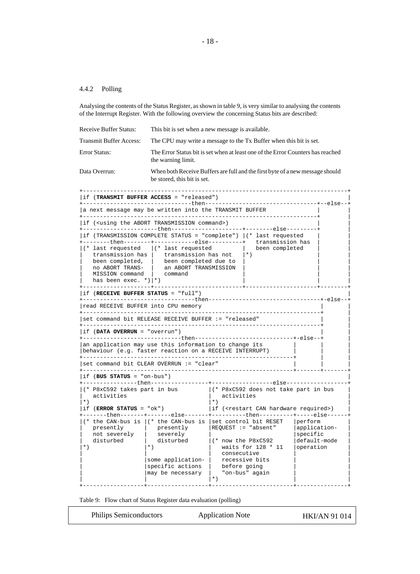### 4.4.2 Polling

Analysing the contents of the Status Register, as shown in table 9, is very similar to analysing the contents of the Interrupt Register. With the following overview the concerning Status bits are described:

| <b>Receive Buffer Status:</b>  | This bit is set when a new message is available.                                                      |
|--------------------------------|-------------------------------------------------------------------------------------------------------|
| <b>Transmit Buffer Access:</b> | The CPU may write a message to the Tx Buffer when this bit is set.                                    |
| Error Status:                  | The Error Status bit is set when at least one of the Error Counters has reached<br>the warning limit. |
| Data Overrun:                  | When both Receive Buffers are full and the first byte of a new message should                         |

be stored, this bit is set.

+------------------------------------------------------------------------------+ |if (**TRANSMIT BUFFER ACCESS** = "released") | +--------------------------------then---------------------------------+--else--+ |a next message may be written into the TRANSMIT BUFFER | | +---------------------------------------------------------------------+ | | if (<using the ABORT TRANSMISSION command>) +----------------------then---------------------+--------else---------+ | |if (TRANSMISSION COMPLETE STATUS = "complete") |(\* last requested | | +--------then--------+------------else----------+ transmission has | |  $|(*)$  last requested  $|(*)$  last requested  $|$  been completed  $|$  transmission has  $| * \rangle$  $transmission$  has  $|$  transmission has not | been completed, | been completed due to | | | | no ABORT TRANS- | an ABORT TRANSMISSION | | | no ABORT TRANS- | an ABORT TRANSMISSION<br>MISSION command | command has been exec.  $\star$ )  $| \star$ ) +--------------------+--------------------------+---------------------+--------+ |if (**RECEIVE BUFFER STATUS** = "full") | +---------------------------------then---------------------------------+-else--+ | read RECEIVE BUFFER into CPU memory +----------------------------------------------------------------------+ | |set command bit RELEASE RECEIVE BUFFER := "released" | | +----------------------------------------------------------------------+ | |if (**DATA OVERRUN** = "overrun") | | +-----------------------------then-----------------------------+-else--+ |  $|$ an application may use this information to change its  $\vert$ behaviour (e.g. faster reaction on a RECEIVE INTERRUPT) +--------------------------------------------------------------+ | |  $|set$  command bit CLEAR OVERRUN := "clear" +--------------------------------------------------------------+-------+-------+ |if (**BUS STATUS** = "on-bus") | +----------------then-----------------+------------------else------------------+ |(\* P8xC592 takes part in bus |(\* P8xC592 does not take part in bus |  $\left.\begin{matrix} \text{activities} \\ \text{*} \end{matrix}\right|$  activities  $|\star\rangle$   $|\star\rangle$ |if (**ERROR STATUS** = "ok") |if (<restart CAN hardware required>) ----then-------+-------else-------+-----------then-----------+-----else-----|(\* the CAN-bus is |(\* the CAN-bus is |set control bit RESET |perform | | presently | presently |REQUEST := "absent" |application- | | not severely | severely | |specific | | disturbed | disturbed |(\* now the P8xC592 |default-mode | |\*)  $| * \rangle$  | waits for 128 \* 11 | operation | consecutive some application- | recessive bits specific actions | before going<br>may be necessary | "on-bus" again | may be necessary  $\vert \cdot \rangle$  $|\cdot|$   $|\cdot|$   $|\cdot|$   $|\cdot|$   $|\cdot|$   $|\cdot|$   $|\cdot|$   $|\cdot|$   $|\cdot|$   $|\cdot|$   $|\cdot|$   $|\cdot|$   $|\cdot|$   $|\cdot|$   $|\cdot|$   $|\cdot|$   $|\cdot|$   $|\cdot|$   $|\cdot|$   $|\cdot|$   $|\cdot|$   $|\cdot|$   $|\cdot|$   $|\cdot|$   $|\cdot|$   $|\cdot|$   $|\cdot|$   $|\cdot|$   $|\cdot|$   $|\cdot|$   $|\cdot|$   $|\cdot|$   $|\cdot|$   $|\cdot|$   $|\cdot|$   $|\cdot|$   $|\cdot|$ +------------------+------------------+------------------------+---------------+

Table 9: Flow chart of Status Register data evaluation (polling)

| <b>Philips Semiconductors</b> | <b>Application Note</b> | <b>HKI/AN 91 014</b> |
|-------------------------------|-------------------------|----------------------|
|-------------------------------|-------------------------|----------------------|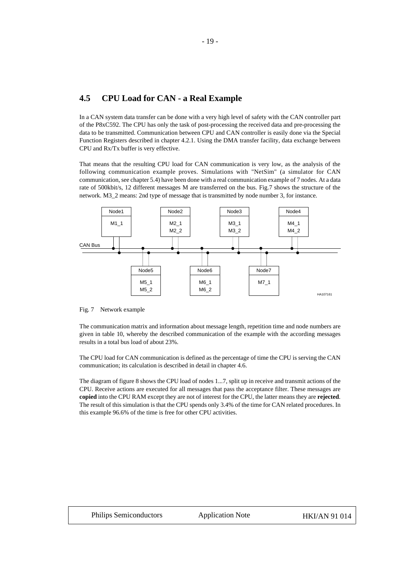# **4.5 CPU Load for CAN - a Real Example**

In a CAN system data transfer can be done with a very high level of safety with the CAN controller part of the P8xC592. The CPU has only the task of post-processing the received data and pre-processing the data to be transmitted. Communication between CPU and CAN controller is easily done via the Special Function Registers described in chapter 4.2.1. Using the DMA transfer facility, data exchange between CPU and Rx/Tx buffer is very effective.

That means that the resulting CPU load for CAN communication is very low, as the analysis of the following communication example proves. Simulations with "NetSim" (a simulator for CAN communication, see chapter 5.4) have been done with a real communication example of 7 nodes. At a data rate of 500kbit/s, 12 different messages M are transferred on the bus. Fig.7 shows the structure of the network. M3\_2 means: 2nd type of message that is transmitted by node number 3, for instance.



Fig. 7 Network example

The communication matrix and information about message length, repetition time and node numbers are given in table 10, whereby the described communication of the example with the according messages results in a total bus load of about 23%.

The CPU load for CAN communication is defined as the percentage of time the CPU is serving the CAN communication; its calculation is described in detail in chapter 4.6.

The diagram of figure 8 shows the CPU load of nodes 1...7, split up in receive and transmit actions of the CPU. Receive actions are executed for all messages that pass the acceptance filter. These messages are **copied** into the CPU RAM except they are not of interest for the CPU, the latter means they are **rejected**. The result of this simulation is that the CPU spends only 3.4% of the time for CAN related procedures. In this example 96.6% of the time is free for other CPU activities.

| <b>Philips Semiconductors</b> | <b>Application Note</b> | <b>HKI/AN 91 014</b> |
|-------------------------------|-------------------------|----------------------|
|                               |                         |                      |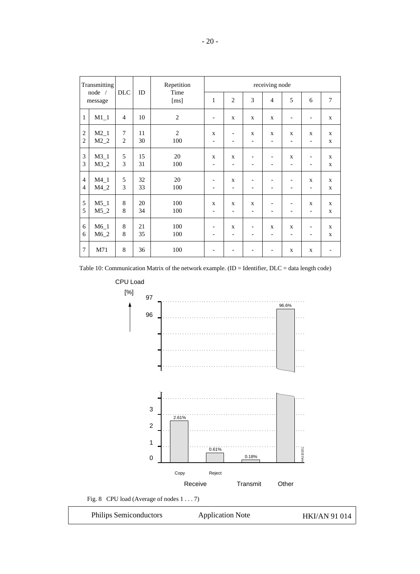|                | Transmitting      |                |    | Repetition     |                          |                          |                          | receiving node               |                          |                          |                |
|----------------|-------------------|----------------|----|----------------|--------------------------|--------------------------|--------------------------|------------------------------|--------------------------|--------------------------|----------------|
|                | node /<br>message | <b>DLC</b>     | ID | Time<br>[ms]   | $\mathbf{1}$             | $\overline{2}$           | 3                        | $\overline{4}$               | 5                        | 6                        | $\overline{7}$ |
| $\mathbf{1}$   | $M1_1$            | $\overline{4}$ | 10 | $\mathfrak{2}$ | $\overline{\phantom{0}}$ | X                        | $\mathbf{X}$             | $\mathbf{X}$                 | -                        |                          | $\mathbf X$    |
| $\overline{2}$ | $M2_1$            | $\overline{7}$ | 11 | $\overline{2}$ | X                        |                          | $\mathbf{X}$             | X                            | $\mathbf{X}$             | X                        | $\mathbf X$    |
| $\overline{2}$ | $M2_2$            | $\overline{2}$ | 30 | 100            | -                        |                          | $\overline{\phantom{a}}$ | ۰                            | $\overline{\phantom{0}}$ | $\overline{\phantom{a}}$ | $\mathbf X$    |
| 3              | $M3_1$            | 5              | 15 | 20             | X                        | X                        | $\overline{\phantom{a}}$ | $\overline{\phantom{a}}$     | $\mathbf{X}$             | $\overline{\phantom{a}}$ | $\mathbf X$    |
| 3              | $M3_2$            | 3              | 31 | 100            | $\qquad \qquad -$        | $\overline{\phantom{0}}$ | $\overline{\phantom{a}}$ | $\overline{\phantom{0}}$     | -                        | $\qquad \qquad -$        | $\mathbf X$    |
| $\overline{4}$ | $M4_1$            | 5              | 32 | 20             | $\overline{\phantom{0}}$ | X                        | $\overline{a}$           | $\overline{\phantom{a}}$     | -                        | $\mathbf X$              | $\mathbf X$    |
| $\overline{4}$ | $M4_2$            | 3              | 33 | 100            | $\overline{\phantom{a}}$ | ۰                        | ٠                        |                              | $\overline{\phantom{a}}$ | $\overline{\phantom{a}}$ | $\mathbf{X}$   |
| 5              | $M5_1$            | 8              | 20 | 100            | $\mathbf X$              | $\mathbf X$              | $\mathbf{X}$             | $\qquad \qquad \blacksquare$ | -                        | $\mathbf X$              | $\mathbf{X}$   |
| 5              | $M5_2$            | 8              | 34 | 100            | $\overline{\phantom{a}}$ | -                        | $\overline{\phantom{0}}$ | ۰                            |                          | $\overline{\phantom{a}}$ | X              |
| 6              | $M6_1$            | 8              | 21 | 100            | -                        | $\mathbf{X}$             | $\overline{\phantom{a}}$ | X                            | X                        | $\overline{\phantom{a}}$ | X              |
| 6              | $M6_2$            | 8              | 35 | 100            | ۰                        | -                        | ۰                        | $\blacksquare$               | $\overline{\phantom{a}}$ |                          | $\mathbf X$    |
| 7              | M71               | 8              | 36 | 100            |                          |                          |                          |                              | $\mathbf{X}$             | $\mathbf X$              |                |

Table 10: Communication Matrix of the network example. (ID = Identifier, DLC = data length code)

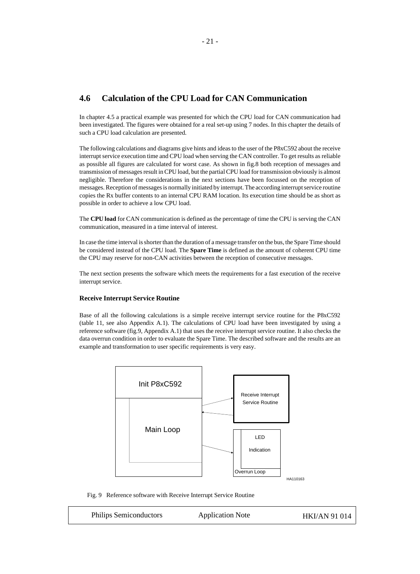# **4.6 Calculation of the CPU Load for CAN Communication**

In chapter 4.5 a practical example was presented for which the CPU load for CAN communication had been investigated. The figures were obtained for a real set-up using 7 nodes. In this chapter the details of such a CPU load calculation are presented.

The following calculations and diagrams give hints and ideas to the user of the P8xC592 about the receive interrupt service execution time and CPU load when serving the CAN controller. To get results as reliable as possible all figures are calculated for worst case. As shown in fig.8 both reception of messages and transmission of messages result in CPU load, but the partial CPU load for transmission obviously is almost negligible. Therefore the considerations in the next sections have been focussed on the reception of messages. Reception of messages is normally initiated by interrupt. The according interrupt service routine copies the Rx buffer contents to an internal CPU RAM location. Its execution time should be as short as possible in order to achieve a low CPU load.

The **CPU load** for CAN communication is defined as the percentage of time the CPU is serving the CAN communication, measured in a time interval of interest.

In case the time interval is shorter than the duration of a message transfer on the bus, the Spare Time should be considered instead of the CPU load. The **Spare Time** is defined as the amount of coherent CPU time the CPU may reserve for non-CAN activities between the reception of consecutive messages.

The next section presents the software which meets the requirements for a fast execution of the receive interrupt service.

## **Receive Interrupt Service Routine**

Base of all the following calculations is a simple receive interrupt service routine for the P8xC592 (table 11, see also Appendix A.1). The calculations of CPU load have been investigated by using a reference software (fig.9, Appendix A.1) that uses the receive interrupt service routine. It also checks the data overrun condition in order to evaluate the Spare Time. The described software and the results are an example and transformation to user specific requirements is very easy.



Fig. 9 Reference software with Receive Interrupt Service Routine

```
Philips Semiconductors Application Note HKI/AN 91 014
```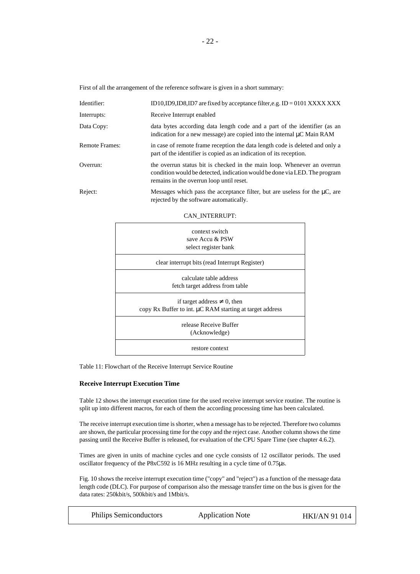First of all the arrangement of the reference software is given in a short summary:

| Identifier:           | ID10, ID9, ID8, ID7 are fixed by acceptance filter, e.g. ID = 0101 XXXX XXX                                                                                                                       |
|-----------------------|---------------------------------------------------------------------------------------------------------------------------------------------------------------------------------------------------|
| Interrupts:           | Receive Interrupt enabled                                                                                                                                                                         |
| Data Copy:            | data bytes according data length code and a part of the identifier (as an<br>indication for a new message) are copied into the internal $\mu$ C Main RAM                                          |
| <b>Remote Frames:</b> | in case of remote frame reception the data length code is deleted and only a<br>part of the identifier is copied as an indication of its reception.                                               |
| Overrun:              | the overrun status bit is checked in the main loop. Whenever an overrun<br>condition would be detected, indication would be done via LED. The program<br>remains in the overrun loop until reset. |
| Reject:               | Messages which pass the acceptance filter, but are useless for the $\mu$ C, are<br>rejected by the software automatically.                                                                        |

| CAN_INTERRUPT:                                           |
|----------------------------------------------------------|
| context switch                                           |
| save Accu & PSW                                          |
| select register bank                                     |
| clear interrupt bits (read Interrupt Register)           |
| calculate table address                                  |
| fetch target address from table                          |
| if target address $\neq 0$ , then                        |
| copy Rx Buffer to int. μC RAM starting at target address |
| release Receive Buffer                                   |
| (Acknowledge)                                            |
| restore context                                          |

Table 11: Flowchart of the Receive Interrupt Service Routine

## **Receive Interrupt Execution Time**

Table 12 shows the interrupt execution time for the used receive interrupt service routine. The routine is split up into different macros, for each of them the according processing time has been calculated.

The receive interrupt execution time is shorter, when a message has to be rejected. Therefore two columns are shown, the particular processing time for the copy and the reject case. Another column shows the time passing until the Receive Buffer is released, for evaluation of the CPU Spare Time (see chapter 4.6.2).

Times are given in units of machine cycles and one cycle consists of 12 oscillator periods. The used oscillator frequency of the P8xC592 is 16 MHz resulting in a cycle time of 0.75µs.

Fig. 10 shows the receive interrupt execution time ("copy" and "reject") as a function of the message data length code (DLC). For purpose of comparison also the message transfer time on the bus is given for the data rates: 250kbit/s, 500kbit/s and 1Mbit/s.

| Philips Semiconductors | <b>Application Note</b> | <b>HKI/AN 91 014</b> |
|------------------------|-------------------------|----------------------|
|------------------------|-------------------------|----------------------|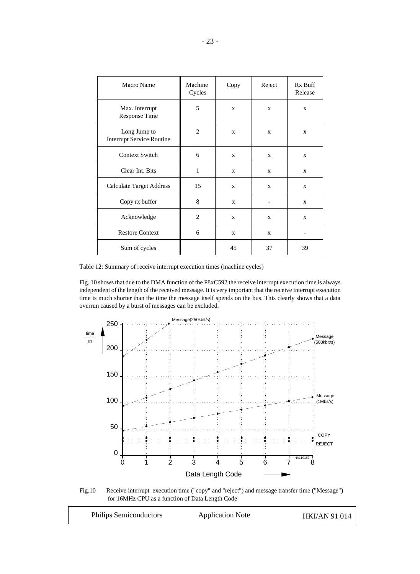| Macro Name                                       | Machine<br>Cycles | Copy         | Reject       | Rx Buff<br>Release |
|--------------------------------------------------|-------------------|--------------|--------------|--------------------|
| Max. Interrupt<br><b>Response Time</b>           | 5                 | X            | X            | X                  |
| Long Jump to<br><b>Interrupt Service Routine</b> | 2                 | X            | X            | X                  |
| <b>Context Switch</b>                            | 6                 | $\mathbf{X}$ | X            | X                  |
| Clear Int. Bits                                  | $\mathbf{1}$      | $\mathbf{X}$ | $\mathbf{X}$ | X                  |
| <b>Calculate Target Address</b>                  | 15                | $\mathbf{x}$ | X            | X                  |
| Copy rx buffer                                   | 8                 | X            |              | X                  |
| Acknowledge                                      | $\overline{2}$    | X            | X            | X                  |
| <b>Restore Context</b>                           | 6                 | $\mathbf{X}$ | X            |                    |
| Sum of cycles                                    |                   | 45           | 37           | 39                 |

Table 12: Summary of receive interrupt execution times (machine cycles)

Fig. 10 shows that due to the DMA function of the P8xC592 the receive interrupt execution time is always independent of the length of the received message. It is very important that the receive interrupt execution time is much shorter than the time the message itself spends on the bus. This clearly shows that a data overrun caused by a burst of messages can be excluded.



Fig.10 Receive interrupt execution time ("copy" and "reject") and message transfer time ("Message") for 16MHz CPU as a function of Data Length Code

| <b>Philips Semiconductors</b> | <b>Application Note</b> | <b>HKI/AN 91 014</b> |
|-------------------------------|-------------------------|----------------------|
|-------------------------------|-------------------------|----------------------|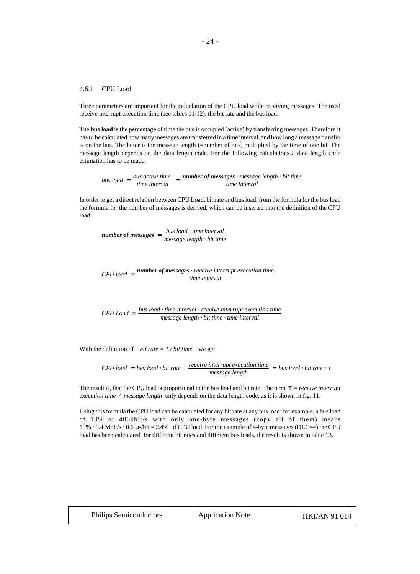#### 4.6.1 CPU Load

Three parameters are important for the calculation of the CPU load while receiving messages: The used receive interrupt execution time (see tables 11/12), the bit rate and the bus load.

The **bus load** is the percentage of time the bus is occupied (active) by transferring messages. Therefore it has to be calculated how many messages are transferred in a time interval, and how long a message transfer is on the bus. The latter is the message length (=number of bits) multiplied by the time of one bit. The message length depends on the data length code. For the following calculations a data length code estimation has to be made.

 $b$ us  $load = \frac{bus \ active \ time}{time \ interval} = \frac{number \ of \ messages \ \ message \ length \ \ bit \ time}{time \ interval}$ *time interval*

In order to get a direct relation between CPU Load, bit rate and bus load, from the formula for the bus load the formula for the number of messages is derived, which can be inserted into the definition of the CPU load:

*number of messages* <sup>=</sup> *bus load* <sup>⋅</sup> *time interval message length* ⋅ *bit time*

#### $CPU$  *load* =  $\frac{number\ of\ messages\ received\ interval\ 2}{|P|}$  *receive interrupt execution time time interval*

*CPU Load* = *bus load* ⋅ *time interval* ⋅ *receive interrupt execution time message length* ⋅ *bit time* ⋅ *time interval*

With the definition of *bit rate* =  $1/b$ *it time* we get

$$
CPU \text{ load} = \text{ bus } \text{ load} \cdot \text{ bit rate} \cdot \frac{\text{ receive interrupt execution time}}{\text{message length}} = \text{ bus } \text{ load} \cdot \text{ bit rate} \cdot \tau
$$

The result is, that the CPU load is proportional to the bus load and bit rate. The term τ := *receive interrupt execution time / message length* only depends on the data length code, as it is shown in fig. 11.

Using this formula the CPU load can be calculated for any bit rate at any bus load: for example, a bus load of 10% at 400kbit/s with only one-byte messages (copy all of them) means 10% ⋅ 0.4 Mbit/s ⋅ 0.6 µs/bit = 2.4% of CPU load. For the example of 4-byte messages (DLC=4) the CPU load has been calculated for different bit rates and different bus loads, the result is shown in table 13.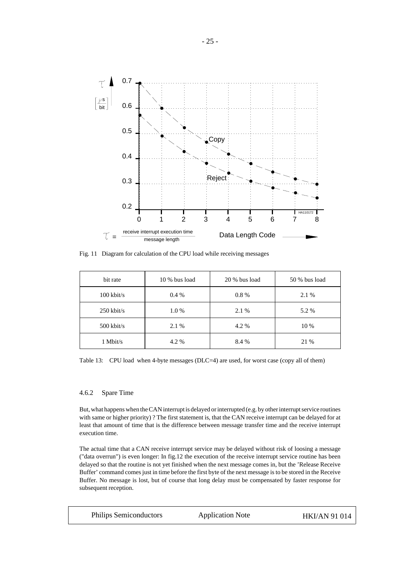

Fig. 11 Diagram for calculation of the CPU load while receiving messages

| bit rate     | 10 % bus load | 20 % bus load | 50 % bus load |
|--------------|---------------|---------------|---------------|
| $100$ kbit/s | $0.4\%$       | $0.8 \%$      | 2.1 %         |
| $250$ kbit/s | 1.0 %         | 2.1 %         | 5.2 %         |
| $500$ kbit/s | 2.1 %         | 4.2 %         | 10 %          |
| $1$ Mbit/s   | 4.2 %         | 8.4 %         | 21 %          |

Table 13: CPU load when 4-byte messages (DLC=4) are used, for worst case (copy all of them)

## 4.6.2 Spare Time

But, what happens when the CAN interrupt is delayed or interrupted (e.g. by other interrupt service routines with same or higher priority) ? The first statement is, that the CAN receive interrupt can be delayed for at least that amount of time that is the difference between message transfer time and the receive interrupt execution time.

The actual time that a CAN receive interrupt service may be delayed without risk of loosing a message ("data overrun") is even longer: In fig.12 the execution of the receive interrupt service routine has been delayed so that the routine is not yet finished when the next message comes in, but the 'Release Receive Buffer' command comes just in time before the first byte of the next message is to be stored in the Receive Buffer. No message is lost, but of course that long delay must be compensated by faster response for subsequent reception.

| <b>Philips Semiconductors</b> | <b>Application Note</b> | <b>HKI/AN 91 014</b> |
|-------------------------------|-------------------------|----------------------|
|                               |                         |                      |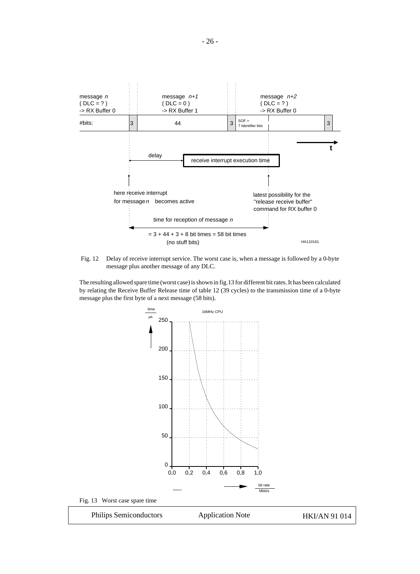

 Fig. 12 Delay of receive interrupt service. The worst case is, when a message is followed by a 0-byte message plus another message of any DLC.

The resulting allowed spare time (worst case) is shown in fig.13 for different bit rates. It has been calculated by relating the Receive Buffer Release time of table 12 (39 cycles) to the transmission time of a 0-byte message plus the first byte of a next message (58 bits).



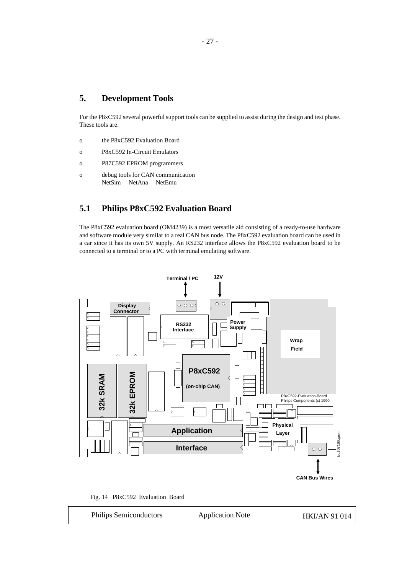# **5. Development Tools**

For the P8xC592 several powerful support tools can be supplied to assist during the design and test phase. These tools are:

- o the P8xC592 Evaluation Board
- o P8xC592 In-Circuit Emulators
- o P87C592 EPROM programmers
- o debug tools for CAN communication NetSim NetAna NetEmu

# **5.1 Philips P8xC592 Evaluation Board**

The P8xC592 evaluation board (OM4239) is a most versatile aid consisting of a ready-to-use hardware and software module very similar to a real CAN bus node. The P8xC592 evaluation board can be used in a car since it has its own 5V supply. An RS232 interface allows the P8xC592 evaluation board to be connected to a terminal or to a PC with terminal emulating software.



Fig. 14 P8xC592 Evaluation Board

```
Philips Semiconductors Application Note HKI/AN 91 014
```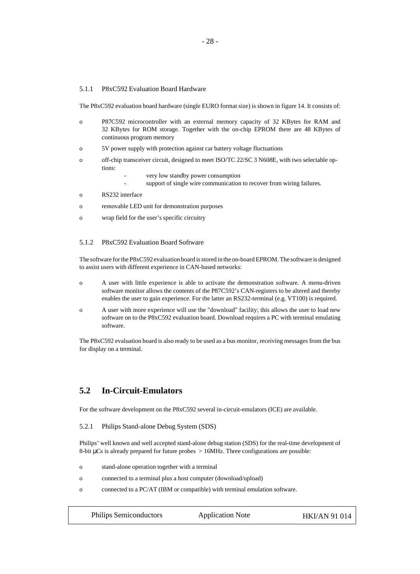#### 5.1.1 P8xC592 Evaluation Board Hardware

The P8xC592 evaluation board hardware (single EURO format size) is shown in figure 14. It consists of:

- o P87C592 microcontroller with an external memory capacity of 32 KBytes for RAM and 32 KBytes for ROM storage. Together with the on-chip EPROM there are 48 KBytes of continuous program memory
- o 5V power supply with protection against car battery voltage fluctuations
- o off-chip transceiver circuit, designed to meet ISO/TC 22/SC 3 N608E, with two selectable options:
	- very low standby power consumption
	- support of single wire communication to recover from wiring failures.
- o RS232 interface
- o removable LED unit for demonstration purposes
- o wrap field for the user's specific circuitry

#### 5.1.2 P8xC592 Evaluation Board Software

The software for the P8xC592 evaluation board is stored in the on-board EPROM. The software is designed to assist users with different experience in CAN-based networks:

- o A user with little experience is able to activate the demonstration software. A menu-driven software monitor allows the contents of the P87C592's CAN-registers to be altered and thereby enables the user to gain experience. For the latter an RS232-terminal (e.g. VT100) is required.
- o A user with more experience will use the "download" facility; this allows the user to load new software on to the P8xC592 evaluation board. Download requires a PC with terminal emulating software.

The P8xC592 evaluation board is also ready to be used as a bus monitor, receiving messages from the bus for display on a terminal.

## **5.2 In-Circuit-Emulators**

For the software development on the P8xC592 several in-circuit-emulators (ICE) are available.

5.2.1 Philips Stand-alone Debug System (SDS)

Philips' well known and well accepted stand-alone debug station (SDS) for the real-time development of 8-bit µCs is already prepared for future probes > 16MHz. Three configurations are possible:

- o stand-alone operation together with a terminal
- o connected to a terminal plus a host computer (download/upload)
- o connected to a PC/AT (IBM or compatible) with terminal emulation software.

| <b>Philips Semiconductors</b> | <b>Application Note</b> | <b>HKI/AN 91 014</b> |
|-------------------------------|-------------------------|----------------------|
|-------------------------------|-------------------------|----------------------|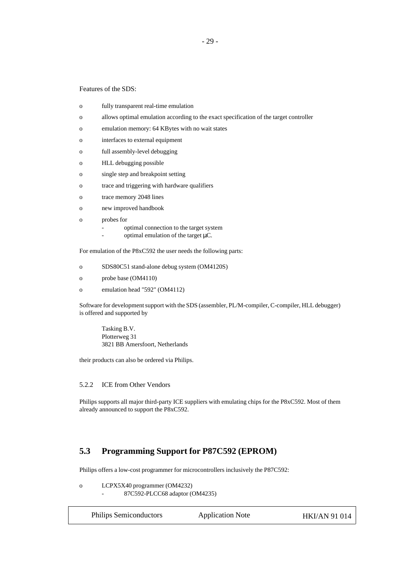### Features of the SDS:

- o fully transparent real-time emulation
- o allows optimal emulation according to the exact specification of the target controller
- o emulation memory: 64 KBytes with no wait states
- o interfaces to external equipment
- o full assembly-level debugging
- o HLL debugging possible
- o single step and breakpoint setting
- o trace and triggering with hardware qualifiers
- o trace memory 2048 lines
- o new improved handbook
- o probes for
	- optimal connection to the target system
	- optimal emulation of the target  $\mu$ C.

For emulation of the P8xC592 the user needs the following parts:

- o SDS80C51 stand-alone debug system (OM4120S)
- o probe base (OM4110)
- o emulation head "592" (OM4112)

Software for development support with the SDS (assembler, PL/M-compiler, C-compiler, HLL debugger) is offered and supported by

Tasking B.V. Plotterweg 31 3821 BB Amersfoort, Netherlands

their products can also be ordered via Philips.

#### 5.2.2 ICE from Other Vendors

Philips supports all major third-party ICE suppliers with emulating chips for the P8xC592. Most of them already announced to support the P8xC592.

## **5.3 Programming Support for P87C592 (EPROM)**

Philips offers a low-cost programmer for microcontrollers inclusively the P87C592:

o LCPX5X40 programmer (OM4232)

- 87C592-PLCC68 adaptor (OM4235)

| <b>Philips Semiconductors</b> | <b>Application No</b> |
|-------------------------------|-----------------------|
|-------------------------------|-----------------------|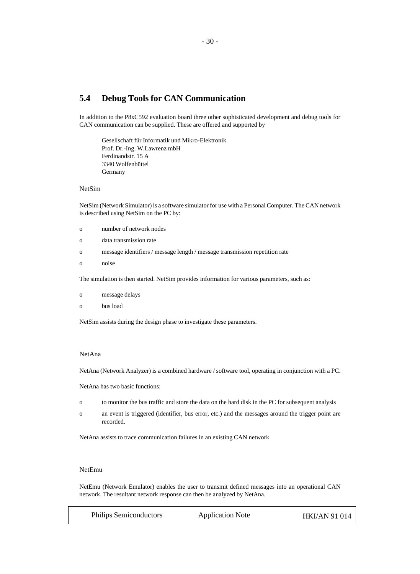# **5.4 Debug Tools for CAN Communication**

In addition to the P8xC592 evaluation board three other sophisticated development and debug tools for CAN communication can be supplied. These are offered and supported by

Gesellschaft für Informatik und Mikro-Elektronik Prof. Dr.-Ing. W.Lawrenz mbH Ferdinandstr. 15 A 3340 Wolfenbüttel Germany

#### NetSim

NetSim (Network Simulator) is a software simulator for use with a Personal Computer. The CAN network is described using NetSim on the PC by:

- o number of network nodes
- o data transmission rate
- o message identifiers / message length / message transmission repetition rate
- o noise

The simulation is then started. NetSim provides information for various parameters, such as:

- o message delays
- o bus load

NetSim assists during the design phase to investigate these parameters.

### NetAna

NetAna (Network Analyzer) is a combined hardware / software tool, operating in conjunction with a PC.

NetAna has two basic functions:

- o to monitor the bus traffic and store the data on the hard disk in the PC for subsequent analysis
- o an event is triggered (identifier, bus error, etc.) and the messages around the trigger point are recorded.

NetAna assists to trace communication failures in an existing CAN network

#### NetEmu

NetEmu (Network Emulator) enables the user to transmit defined messages into an operational CAN network. The resultant network response can then be analyzed by NetAna.

| <b>Philips Semiconductors</b> | <b>Application Note</b> | HKI/AN 91 014 |
|-------------------------------|-------------------------|---------------|
|-------------------------------|-------------------------|---------------|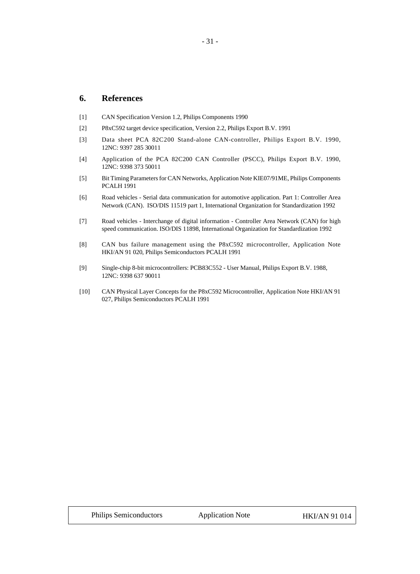## **6. References**

- [1] CAN Specification Version 1.2, Philips Components 1990
- [2] P8xC592 target device specification, Version 2.2, Philips Export B.V. 1991
- [3] Data sheet PCA 82C200 Stand-alone CAN-controller, Philips Export B.V. 1990, 12NC: 9397 285 30011
- [4] Application of the PCA 82C200 CAN Controller (PSCC), Philips Export B.V. 1990, 12NC: 9398 373 50011
- [5] Bit Timing Parameters for CAN Networks, Application Note KIE07/91ME, Philips Components PCALH 1991
- [6] Road vehicles Serial data communication for automotive application. Part 1: Controller Area Network (CAN). ISO/DIS 11519 part 1, International Organization for Standardization 1992
- [7] Road vehicles Interchange of digital information Controller Area Network (CAN) for high speed communication. ISO/DIS 11898, International Organization for Standardization 1992
- [8] CAN bus failure management using the P8xC592 microcontroller, Application Note HKI/AN 91 020, Philips Semiconductors PCALH 1991
- [9] Single-chip 8-bit microcontrollers: PCB83C552 User Manual, Philips Export B.V. 1988, 12NC: 9398 637 90011
- [10] CAN Physical Layer Concepts for the P8xC592 Microcontroller, Application Note HKI/AN 91 027, Philips Semiconductors PCALH 1991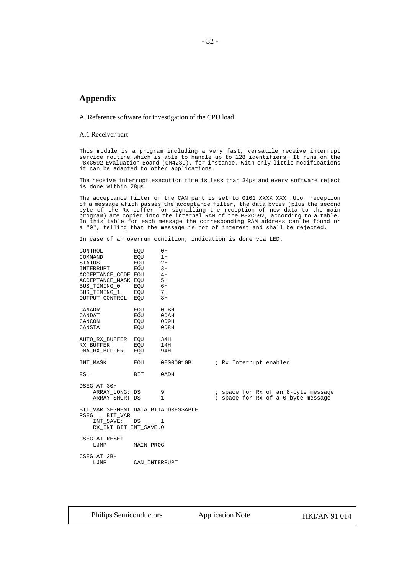## **Appendix**

A. Reference software for investigation of the CPU load

A.1 Receiver part

This module is a program including a very fast, versatile receive interrupt service routine which is able to handle up to 128 identifiers. It runs on the P8xC592 Evaluation Board (OM4239), for instance. With only little modifications it can be adapted to other applications.

The receive interrupt execution time is less than 34µs and every software reject is done within 28µs.

The acceptance filter of the CAN part is set to 0101 XXXX XXX. Upon reception of a message which passes the acceptance filter, the data bytes (plus the second byte of the Rx buffer for signalling the reception of new data to the main program) are copied into the internal RAM of the P8xC592, according to a table. In this table for each message the corresponding RAM address can be found or a "0", telling that the message is not of interest and shall be rejected.

In case of an overrun condition, indication is done via LED.

| CONTROL                                                | EQU           | 0H        |                        |  |                                     |
|--------------------------------------------------------|---------------|-----------|------------------------|--|-------------------------------------|
| COMMAND                                                | EQU           | 1H        |                        |  |                                     |
| STATUS                                                 | EOU           | 2H        |                        |  |                                     |
| INTERRUPT                                              | EOU           | 3H        |                        |  |                                     |
| ACCEPTANCE_CODE EQU                                    |               | 4H        |                        |  |                                     |
| ACCEPTANCE MASK EQU                                    |               | 5H        |                        |  |                                     |
| BUS TIMING 0                                           | EQU           | 6H        |                        |  |                                     |
| BUS TIMING 1 EQU                                       |               | 7H        |                        |  |                                     |
| OUTPUT_CONTROL EQU                                     |               | 8H        |                        |  |                                     |
| CANADR                                                 | EOU           | 0DBH      |                        |  |                                     |
| CANDAT                                                 | EOU           | 0DAH      |                        |  |                                     |
| CANCON                                                 | EOU           | 0D9H      |                        |  |                                     |
| CANSTA                                                 | EOU           | 0D8H      |                        |  |                                     |
| AUTO RX BUFFER EQU                                     |               | 34H       |                        |  |                                     |
| RX BUFFER                                              | EOU           | 14H       |                        |  |                                     |
| DMA_RX_BUFFER EQU                                      |               | 94H       |                        |  |                                     |
| INT MASK                                               | EOU           | 00000010B | ; Rx Interrupt enabled |  |                                     |
| ES1                                                    | <b>BIT</b>    | 0ADH      |                        |  |                                     |
| DSEG AT 30H                                            |               |           |                        |  |                                     |
| ARRAY LONG: DS                                         |               | 9         |                        |  | ; space for Rx of an 8-byte message |
| ARRAY SHORT: DS                                        |               | 1         |                        |  | ; space for Rx of a 0-byte message  |
| BIT VAR SEGMENT DATA BITADDRESSABLE<br>RSEG<br>BIT_VAR |               |           |                        |  |                                     |
| INT SAVE:                                              | DS            | 1         |                        |  |                                     |
| RX_INT BIT INT_SAVE.0                                  |               |           |                        |  |                                     |
| CSEG AT RESET                                          |               |           |                        |  |                                     |
| LJMP                                                   | MAIN PROG     |           |                        |  |                                     |
| CSEG AT 2BH                                            |               |           |                        |  |                                     |
| LJMP                                                   | CAN INTERRUPT |           |                        |  |                                     |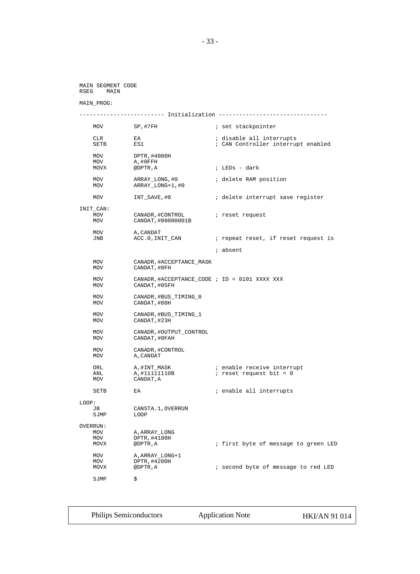MAIN SEGMENT CODE RSEG MAIN

#### MAIN\_PROG:

|       |                                | ---------- Initialization ---------------------                |                                                                |
|-------|--------------------------------|----------------------------------------------------------------|----------------------------------------------------------------|
|       | MOV                            | SP,#7FH                                                        | ; set stackpointer                                             |
|       | CLR<br>SETB                    | EA<br>ES1                                                      | ; disable all interrupts<br>; CAN Controller interrupt enabled |
|       | MOV<br>MOV<br>MOVX             | DPTR, #4000H<br>A,#OFFH<br>@DPTR, A                            | ; LEDs - dark                                                  |
|       | MOV<br>MOV                     | ARRAY LONG, #0<br>ARRAY_LONG+1, #0                             | ; delete RAM position                                          |
|       | MOV                            | INT_SAVE, #0                                                   | ; delete interrupt save register                               |
|       | INIT_CAN:<br>MOV<br>MOV        | CANADR, #CONTROL<br>CANDAT, #00000001B                         | ; reset request                                                |
|       | MOV<br>JNB                     | A, CANDAT<br>ACC.0, INIT_CAN                                   | ; repeat reset, if reset request is                            |
|       |                                |                                                                | ; absent                                                       |
|       | MOV<br>MOV                     | CANADR, #ACCEPTANCE MASK<br>CANDAT, #0FH                       |                                                                |
|       | MOV<br>MOV                     | CANADR, #ACCEPTANCE CODE ; ID = 0101 XXXX XXX<br>CANDAT, #05FH |                                                                |
|       | MOV<br>MOV                     | CANADR, #BUS_TIMING_0<br>CANDAT, #80H                          |                                                                |
|       | MOV<br>MOV                     | CANADR, #BUS_TIMING_1<br>CANDAT, #23H                          |                                                                |
|       | MOV<br>MOV                     | CANADR, #OUTPUT_CONTROL<br>CANDAT, #0FAH                       |                                                                |
|       | MOV<br>MOV                     | CANADR, #CONTROL<br>A, CANDAT                                  |                                                                |
|       | ORL<br>ANL<br>MOV              | A,#INT_MASK<br>A,#11111110B<br>CANDAT, A                       | ; enable receive interrupt<br>; reset request bit = 0          |
|       | SETB                           | ΕA                                                             | ; enable all interrupts                                        |
| LOOP: |                                |                                                                |                                                                |
|       | JВ<br>SJMP                     | CANSTA.1, OVERRUN<br>LOOP                                      |                                                                |
|       | OVERRUN:<br>MOV<br>MOV<br>MOVX | A, ARRAY_LONG<br>DPTR, #4100H<br>@DPTR, A                      | ; first byte of message to green LED                           |
|       | MOV<br>MOV<br>MOVX             | A, ARRAY LONG+1<br>DPTR, #4200H<br>@DPTR, A                    | ; second byte of message to red LED                            |
|       | SJMP                           | \$                                                             |                                                                |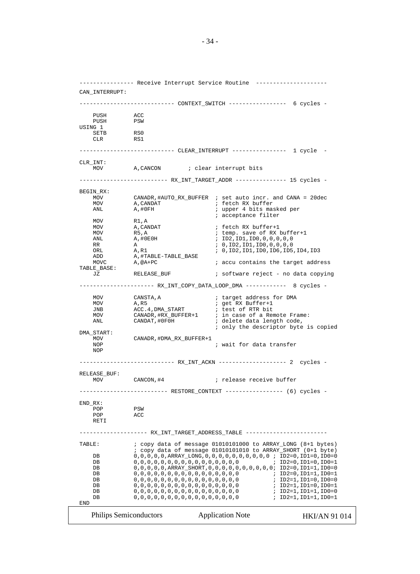---------------- Receive Interrupt Service Routine --------------------- CAN\_INTERRUPT: ---------------------------- CONTEXT\_SWITCH ----------------- 6 cycles - PUSH ACC PUSH PSW USING 1 SETB RSO<br>CLR RS1  $CLR$ ---------------------------- CLEAR\_INTERRUPT ---------------- 1 cycle - CLR\_INT: A, CANCON : clear interrupt bits -------------------------- RX\_INT\_TARGET\_ADDR --------------- 15 cycles - BEGIN\_RX: MOV CANADR,#AUTO\_RX\_BUFFER ; set auto incr. and CANA = 20dec ; fetch RX buffer ANL A,#0FH ; upper 4 bits masked per ; acceptance filter MOV R1, A<br>MOV A, CANDAT MOV A,CANDAT ; fetch RX buffer+1 MOV R5, A ; temp. save of RX buffer+1<br>ANL A, #0E0H ; ID2, ID1, ID0, 0, 0, 0, 0, 0 ANL <br>
A,#0E0H ; ID2,ID1,ID0,0,0,0,0,0,0<br>
RR A ; 0,ID2,ID1,ID0,0,0,0,0,0 RR A ; 0,ID2,ID1,ID0,0,0,0,0 ORL A,R1 ; 0,ID2,ID1,ID0,ID6,ID5,ID4,ID3 ADD A, #TABLE-TABLE\_BASE<br>MOVC A, @A+PC ; accu contains the target address TABLE\_BASE: JZ RELEASE\_BUF ; software reject - no data copying ---------------------- RX\_INT\_COPY\_DATA\_LOOP\_DMA ------------ 8 cycles - MOV CANSTA, A ; target address for DMA<br>MOV A, R5 ; get RX Buffer+1 MOV A,R5 ; get RX Buffer+1 JNB ACC.4,DMA\_START ; test of RTR bit MOV CANADR, #RX\_BUFFER+1 ; in case of a Remote Frame:<br>ANL CANDAT, #0F0H ; delete data length code, ; delete data length code, ; only the descriptor byte is copied DMA\_START: MOV CANADR, #DMA\_RX\_BUFFER+1<br>NOP ; wait for data transfer NOP ---------------------------- RX\_INT\_ACKN -------------------- 2 cycles - RELEASE\_BUF: MOV CANCON, #4  $\qquad$  ; release receive buffer ------------------------- RESTORE\_CONTEXT ----------------- (6) cycles -END\_RX: POP PSW<br>POP ACC  $POP$  RETI -------------------- RX\_INT\_TARGET\_ADDRESS\_TABLE ------------------------ TABLE: ; copy data of message 01010101000 to ARRAY\_LONG (8+1 bytes) ; copy data of message 01010101010 to ARRAY\_SHORT (0+1 byte) DB 0,0,0,0,0,ARRAY\_LONG,0,0,0,0,0,0,0,0,0,0 ; ID2=0,ID1=0,ID0=0 DB 0,0,0,0,0,0,0,0,0,0,0,0,0,0,0,0 ; ID2=0,ID1=0,ID0=1 DB 0,0,0,0,0,ARRAY\_SHORT,0,0,0,0,0,0,0,0,0,0; ID2=0,ID1=1,ID0=0 DB 0,0,0,0,0,0,0,0,0,0,0,0,0,0,0,0 ; ID2=0,ID1=1,ID0=1 DB 0,0,0,0,0,0,0,0,0,0,0,0,0,0,0,0 ; ID2=1,ID1=0,ID0=0 DB 0,0,0,0,0,0,0,0,0,0,0,0,0,0,0,0 ; ID2=1,ID1=0,ID0=1 DB 0,0,0,0,0,0,0,0,0,0,0,0,0,0,0,0 ; ID2=1,ID1=1,ID0=0  $0,0,0,0,0,0,0,0,0,0,0,0,0,0,0,0,0,0$ END Philips Semiconductors Application Note HKI/AN 91 014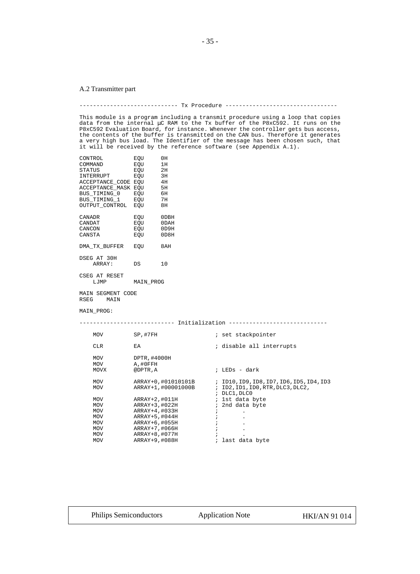# A.2 Transmitter part

| ------------------------ Tx Procedure ------------------------                                                                                                                                                                                                                                                                                                                                                                                                                                   |                                                                                                                                             |                                                            |                                     |                                                                                               |  |  |  |
|--------------------------------------------------------------------------------------------------------------------------------------------------------------------------------------------------------------------------------------------------------------------------------------------------------------------------------------------------------------------------------------------------------------------------------------------------------------------------------------------------|---------------------------------------------------------------------------------------------------------------------------------------------|------------------------------------------------------------|-------------------------------------|-----------------------------------------------------------------------------------------------|--|--|--|
| This module is a program including a transmit procedure using a loop that copies<br>data from the internal µC RAM to the Tx buffer of the P8xC592. It runs on the<br>P8xC592 Evaluation Board, for instance. Whenever the controller gets bus access,<br>the contents of the buffer is transmitted on the CAN bus. Therefore it generates<br>a very high bus load. The Identifier of the message has been chosen such, that<br>it will be received by the reference software (see Appendix A.1). |                                                                                                                                             |                                                            |                                     |                                                                                               |  |  |  |
| CONTROL<br>COMMAND<br>STATUS<br>INTERRUPT<br>ACCEPTANCE CODE EQU<br>ACCEPTANCE_MASK EQU<br>BUS_TIMING_0 EQU<br>BUS_TIMING_1 EQU<br>OUTPUT_CONTROL EQU<br>CANADR                                                                                                                                                                                                                                                                                                                                  | EQU<br>EQU<br>EQU<br>EQU<br>EQU                                                                                                             | 0H<br>1H<br>2H<br>ЗH<br>4H<br>5H<br>6H<br>7H<br>8H<br>0DBH |                                     |                                                                                               |  |  |  |
| CANDAT<br>CANCON                                                                                                                                                                                                                                                                                                                                                                                                                                                                                 | EQU<br>EQU                                                                                                                                  | 0DAH<br>0D9H                                               |                                     |                                                                                               |  |  |  |
| CANSTA                                                                                                                                                                                                                                                                                                                                                                                                                                                                                           | EQU                                                                                                                                         | 0D8H                                                       |                                     |                                                                                               |  |  |  |
| DMA TX BUFFER                                                                                                                                                                                                                                                                                                                                                                                                                                                                                    | EQU                                                                                                                                         | 8 AH                                                       |                                     |                                                                                               |  |  |  |
| DSEG AT 30H<br>ARRAY:                                                                                                                                                                                                                                                                                                                                                                                                                                                                            | DS                                                                                                                                          | 10                                                         |                                     |                                                                                               |  |  |  |
| CSEG AT RESET<br>LJMP                                                                                                                                                                                                                                                                                                                                                                                                                                                                            | MAIN PROG                                                                                                                                   |                                                            |                                     |                                                                                               |  |  |  |
| MAIN SEGMENT CODE<br>RSEG<br>MAIN                                                                                                                                                                                                                                                                                                                                                                                                                                                                |                                                                                                                                             |                                                            |                                     |                                                                                               |  |  |  |
| MAIN PROG:                                                                                                                                                                                                                                                                                                                                                                                                                                                                                       |                                                                                                                                             |                                                            |                                     |                                                                                               |  |  |  |
|                                                                                                                                                                                                                                                                                                                                                                                                                                                                                                  |                                                                                                                                             |                                                            |                                     |                                                                                               |  |  |  |
| MOV                                                                                                                                                                                                                                                                                                                                                                                                                                                                                              | SP, #7FH                                                                                                                                    |                                                            |                                     | ; set stackpointer                                                                            |  |  |  |
| CLR                                                                                                                                                                                                                                                                                                                                                                                                                                                                                              | ЕA                                                                                                                                          |                                                            |                                     | ; disable all interrupts                                                                      |  |  |  |
| MOV<br>MOV<br>MOVX                                                                                                                                                                                                                                                                                                                                                                                                                                                                               | DPTR, #4000H<br>A,#OFFH<br>@DPTR, A                                                                                                         |                                                            |                                     | ; LEDs - dark                                                                                 |  |  |  |
| MOV<br>MOV                                                                                                                                                                                                                                                                                                                                                                                                                                                                                       |                                                                                                                                             | ARRAY+0, #01010101B<br>ARRAY+1, #00001000B                 | ÷                                   | ; ID10, ID9, ID8, ID7, ID6, ID5, ID4, ID3<br>, ID2, ID1, ID0, RTR, DLC3, DLC2<br>; DLC1, DLC0 |  |  |  |
| MOV<br>MOV<br>MOV<br>MOV<br>MOV<br>MOV<br>MOV<br>MOV                                                                                                                                                                                                                                                                                                                                                                                                                                             | ARRAY+2, #011H<br>ARRAY+3, #022H<br>ARRAY+4, #033H<br>ARRAY+5, #044H<br>ARRAY+6, #055H<br>ARRAY+7,#066H<br>ARRAY+8, #077H<br>ARRAY+9, #088H |                                                            | $\ddot{ }$<br>$\cdot$<br>$\ddot{i}$ | 1st data byte<br>2nd data byte<br>; last data byte                                            |  |  |  |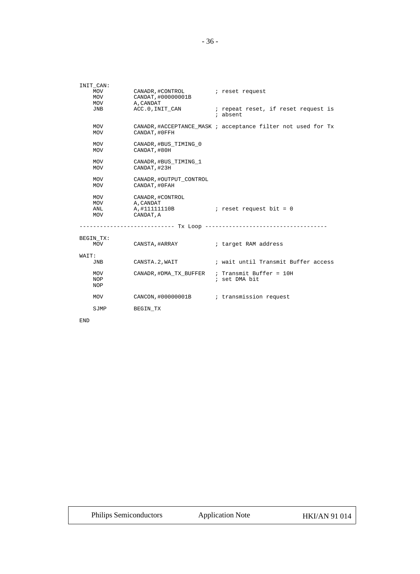|       | INIT_CAN:                       |                                                                     |                                                                    |
|-------|---------------------------------|---------------------------------------------------------------------|--------------------------------------------------------------------|
|       | MOV<br>MOV<br>MOV               | CANADR, #CONTROL i reset request<br>CANDAT, #00000001B<br>A, CANDAT |                                                                    |
|       | JNB                             |                                                                     | ; absent                                                           |
|       | MOV<br>MOV                      | CANDAT, #0FFH                                                       | CANADR, #ACCEPTANCE_MASK ; acceptance filter not used for Tx       |
|       | MOV<br>MOV                      | CANADR, #BUS_TIMING_0<br>CANDAT, #80H                               |                                                                    |
|       | MOV<br>MOV                      | CANADR, #BUS_TIMING_1<br>CANDAT, #23H                               |                                                                    |
|       | MOV<br>MOV                      | CANADR, #OUTPUT_CONTROL<br>CANDAT, #0FAH                            |                                                                    |
|       | MOV<br><b>MOV</b><br>ANL<br>MOV | CANADR, #CONTROL<br>A, CANDAT<br>A,#11111110B<br>CANDAT, A          | $:$ reset request bit = 0                                          |
|       |                                 |                                                                     |                                                                    |
|       | BEGIN TX:<br>MOV                | CANSTA, #ARRAY                                                      | ; target RAM address                                               |
| WAIT: | JNB                             |                                                                     | CANSTA.2, WAIT $\qquad \qquad ;$ wait until Transmit Buffer access |
|       | MOV<br><b>NOP</b><br>NOP        | CANADR, #DMA TX BUFFER ; Transmit Buffer = 10H                      | ; set DMA bit                                                      |
|       | MOV                             | CANCON, #00000001B ; transmission request                           |                                                                    |
|       | SJMP                            | BEGIN TX                                                            |                                                                    |
|       |                                 |                                                                     |                                                                    |

END

| <b>Philips Semiconductors</b> | <b>Application Note</b> | <b>HKI/AN 91 014</b> |
|-------------------------------|-------------------------|----------------------|
|                               |                         |                      |